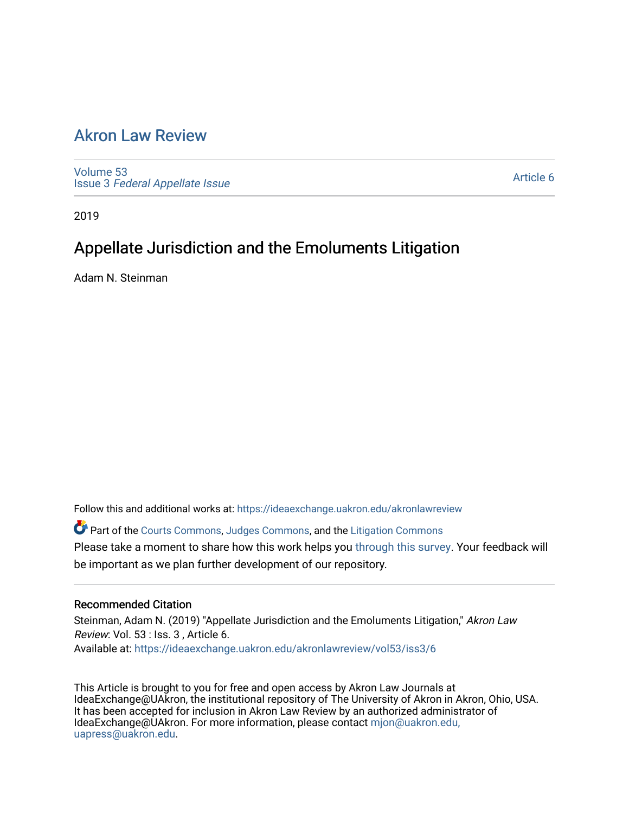## [Akron Law Review](https://ideaexchange.uakron.edu/akronlawreview)

[Volume 53](https://ideaexchange.uakron.edu/akronlawreview/vol53) Issue 3 [Federal Appellate Issue](https://ideaexchange.uakron.edu/akronlawreview/vol53/iss3) 

[Article 6](https://ideaexchange.uakron.edu/akronlawreview/vol53/iss3/6) 

2019

# Appellate Jurisdiction and the Emoluments Litigation

Adam N. Steinman

Follow this and additional works at: [https://ideaexchange.uakron.edu/akronlawreview](https://ideaexchange.uakron.edu/akronlawreview?utm_source=ideaexchange.uakron.edu%2Fakronlawreview%2Fvol53%2Fiss3%2F6&utm_medium=PDF&utm_campaign=PDFCoverPages)

Part of the [Courts Commons,](http://network.bepress.com/hgg/discipline/839?utm_source=ideaexchange.uakron.edu%2Fakronlawreview%2Fvol53%2Fiss3%2F6&utm_medium=PDF&utm_campaign=PDFCoverPages) [Judges Commons](http://network.bepress.com/hgg/discipline/849?utm_source=ideaexchange.uakron.edu%2Fakronlawreview%2Fvol53%2Fiss3%2F6&utm_medium=PDF&utm_campaign=PDFCoverPages), and the [Litigation Commons](http://network.bepress.com/hgg/discipline/910?utm_source=ideaexchange.uakron.edu%2Fakronlawreview%2Fvol53%2Fiss3%2F6&utm_medium=PDF&utm_campaign=PDFCoverPages) Please take a moment to share how this work helps you [through this survey](http://survey.az1.qualtrics.com/SE/?SID=SV_eEVH54oiCbOw05f&URL=https://ideaexchange.uakron.edu/akronlawreview/vol53/iss3/6). Your feedback will be important as we plan further development of our repository.

### Recommended Citation

Steinman, Adam N. (2019) "Appellate Jurisdiction and the Emoluments Litigation," Akron Law Review: Vol. 53 : Iss. 3 , Article 6. Available at: [https://ideaexchange.uakron.edu/akronlawreview/vol53/iss3/6](https://ideaexchange.uakron.edu/akronlawreview/vol53/iss3/6?utm_source=ideaexchange.uakron.edu%2Fakronlawreview%2Fvol53%2Fiss3%2F6&utm_medium=PDF&utm_campaign=PDFCoverPages) 

This Article is brought to you for free and open access by Akron Law Journals at IdeaExchange@UAkron, the institutional repository of The University of Akron in Akron, Ohio, USA. It has been accepted for inclusion in Akron Law Review by an authorized administrator of IdeaExchange@UAkron. For more information, please contact [mjon@uakron.edu,](mailto:mjon@uakron.edu,%20uapress@uakron.edu) [uapress@uakron.edu.](mailto:mjon@uakron.edu,%20uapress@uakron.edu)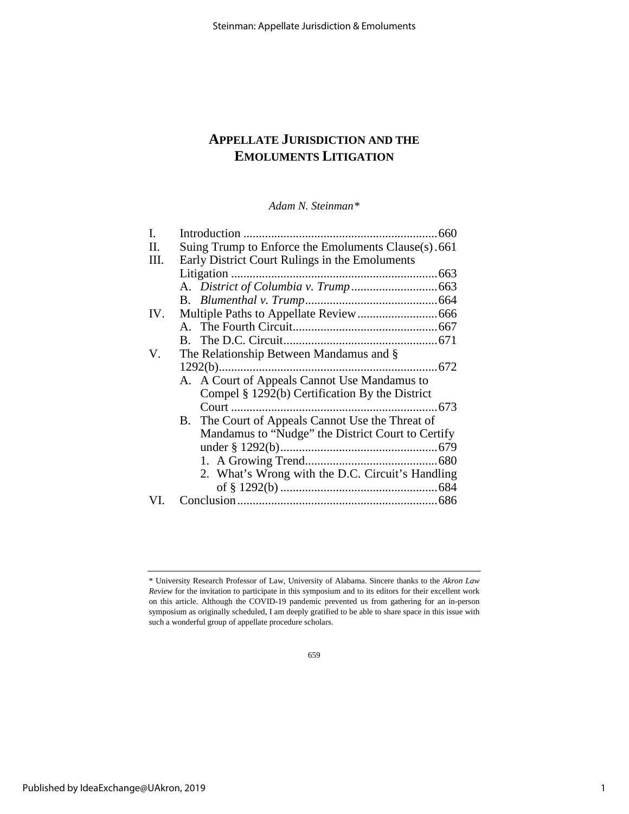## **APPELLATE JURISDICTION AND THE EMOLUMENTS LITIGATION**

*Adam N. Steinman[\\*](#page-1-0)*

| $1292(b)$ |                                                                                                                                                                                                                                                                                                                                                                                                                 |
|-----------|-----------------------------------------------------------------------------------------------------------------------------------------------------------------------------------------------------------------------------------------------------------------------------------------------------------------------------------------------------------------------------------------------------------------|
|           |                                                                                                                                                                                                                                                                                                                                                                                                                 |
|           |                                                                                                                                                                                                                                                                                                                                                                                                                 |
|           |                                                                                                                                                                                                                                                                                                                                                                                                                 |
|           |                                                                                                                                                                                                                                                                                                                                                                                                                 |
|           |                                                                                                                                                                                                                                                                                                                                                                                                                 |
|           |                                                                                                                                                                                                                                                                                                                                                                                                                 |
|           |                                                                                                                                                                                                                                                                                                                                                                                                                 |
|           |                                                                                                                                                                                                                                                                                                                                                                                                                 |
|           |                                                                                                                                                                                                                                                                                                                                                                                                                 |
|           |                                                                                                                                                                                                                                                                                                                                                                                                                 |
|           | Suing Trump to Enforce the Emoluments Clause(s).661<br>Early District Court Rulings in the Emoluments<br>The Relationship Between Mandamus and §<br>A. A Court of Appeals Cannot Use Mandamus to<br>Compel § 1292(b) Certification By the District<br>B. The Court of Appeals Cannot Use the Threat of<br>Mandamus to "Nudge" the District Court to Certify<br>2. What's Wrong with the D.C. Circuit's Handling |

<span id="page-1-0"></span><sup>\*</sup> University Research Professor of Law, University of Alabama. Sincere thanks to the *Akron Law Review* for the invitation to participate in this symposium and to its editors for their excellent work on this article. Although the COVID-19 pandemic prevented us from gathering for an in-person symposium as originally scheduled, I am deeply gratified to be able to share space in this issue with such a wonderful group of appellate procedure scholars.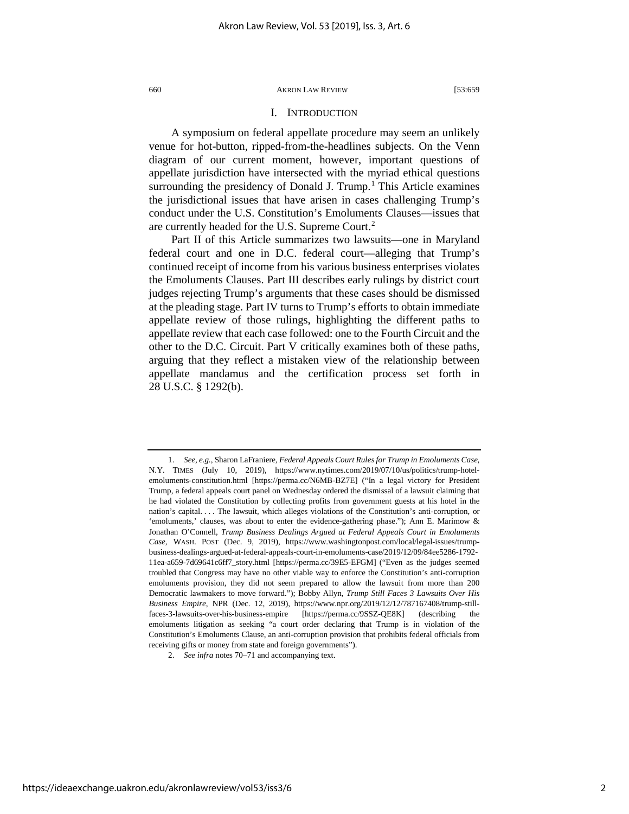#### I. INTRODUCTION

A symposium on federal appellate procedure may seem an unlikely venue for hot-button, ripped-from-the-headlines subjects. On the Venn diagram of our current moment, however, important questions of appellate jurisdiction have intersected with the myriad ethical questions surrounding the presidency of Donald J. Trump.<sup>[1](#page-2-0)</sup> This Article examines the jurisdictional issues that have arisen in cases challenging Trump's conduct under the U.S. Constitution's Emoluments Clauses—issues that are currently headed for the U.S. Supreme Court.[2](#page-2-1)

Part II of this Article summarizes two lawsuits—one in Maryland federal court and one in D.C. federal court—alleging that Trump's continued receipt of income from his various business enterprises violates the Emoluments Clauses. Part III describes early rulings by district court judges rejecting Trump's arguments that these cases should be dismissed at the pleading stage. Part IV turns to Trump's efforts to obtain immediate appellate review of those rulings, highlighting the different paths to appellate review that each case followed: one to the Fourth Circuit and the other to the D.C. Circuit. Part V critically examines both of these paths, arguing that they reflect a mistaken view of the relationship between appellate mandamus and the certification process set forth in 28 U.S.C. § 1292(b).

<span id="page-2-0"></span><sup>1.</sup> *See, e.g.*, Sharon LaFraniere, *Federal Appeals Court Rules for Trump in Emoluments Case*, N.Y. TIMES (July 10, 2019), https://www.nytimes.com/2019/07/10/us/politics/trump-hotelemoluments-constitution.html [https://perma.cc/N6MB-BZ7E] ("In a legal victory for President Trump, a federal appeals court panel on Wednesday ordered the dismissal of a lawsuit claiming that he had violated the Constitution by collecting profits from government guests at his hotel in the nation's capital. . . . The lawsuit, which alleges violations of the Constitution's anti-corruption, or 'emoluments,' clauses, was about to enter the evidence-gathering phase."); Ann E. Marimow & Jonathan O'Connell, *Trump Business Dealings Argued at Federal Appeals Court in Emoluments Case*, WASH. POST (Dec. 9, 2019), https://www.washingtonpost.com/local/legal-issues/trumpbusiness-dealings-argued-at-federal-appeals-court-in-emoluments-case/2019/12/09/84ee5286-1792- 11ea-a659-7d69641c6ff7\_story.html [https://perma.cc/39E5-EFGM] ("Even as the judges seemed troubled that Congress may have no other viable way to enforce the Constitution's anti-corruption emoluments provision, they did not seem prepared to allow the lawsuit from more than 200 Democratic lawmakers to move forward."); Bobby Allyn, *Trump Still Faces 3 Lawsuits Over His Business Empire*, NPR (Dec. 12, 2019), https://www.npr.org/2019/12/12/787167408/trump-stillfaces-3-lawsuits-over-his-business-empire [https://perma.cc/9SSZ-QE8K] (describing the emoluments litigation as seeking "a court order declaring that Trump is in violation of the Constitution's Emoluments Clause, an anti-corruption provision that prohibits federal officials from receiving gifts or money from state and foreign governments").

<span id="page-2-1"></span><sup>2.</sup> *See infra* note[s 70](#page-12-0)[–71](#page-12-1) and accompanying text.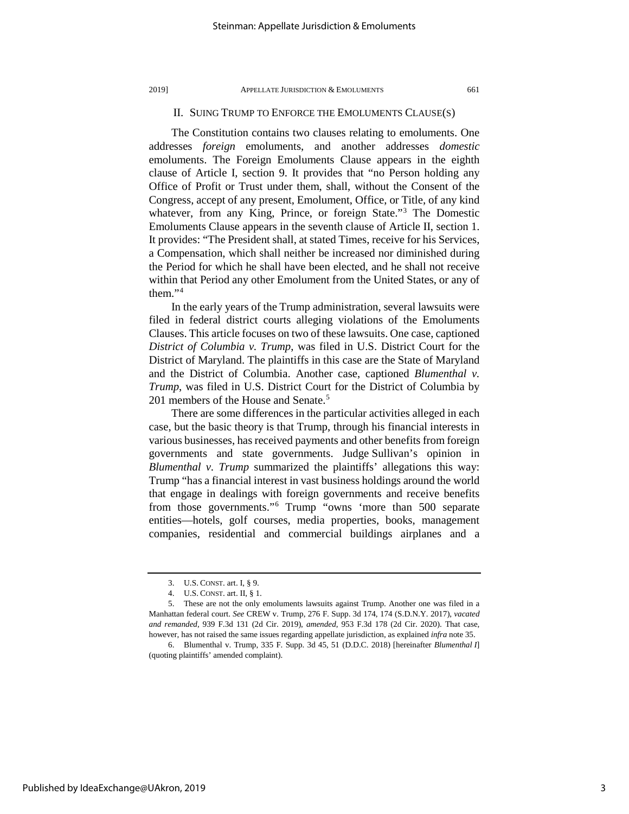#### II. SUING TRUMP TO ENFORCE THE EMOLUMENTS CLAUSE(S)

The Constitution contains two clauses relating to emoluments. One addresses *foreign* emoluments, and another addresses *domestic*  emoluments. The Foreign Emoluments Clause appears in the eighth clause of Article I, section 9. It provides that "no Person holding any Office of Profit or Trust under them, shall, without the Consent of the Congress, accept of any present, Emolument, Office, or Title, of any kind whatever, from any King, Prince, or foreign State."<sup>[3](#page-3-0)</sup> The Domestic Emoluments Clause appears in the seventh clause of Article II, section 1. It provides: "The President shall, at stated Times, receive for his Services, a Compensation, which shall neither be increased nor diminished during the Period for which he shall have been elected, and he shall not receive within that Period any other Emolument from the United States, or any of them."[4](#page-3-1)

In the early years of the Trump administration, several lawsuits were filed in federal district courts alleging violations of the Emoluments Clauses. This article focuses on two of these lawsuits. One case, captioned *District of Columbia v. Trump*, was filed in U.S. District Court for the District of Maryland. The plaintiffs in this case are the State of Maryland and the District of Columbia. Another case, captioned *Blumenthal v. Trump*, was filed in U.S. District Court for the District of Columbia by 201 members of the House and Senate.<sup>[5](#page-3-2)</sup>

<span id="page-3-4"></span>There are some differences in the particular activities alleged in each case, but the basic theory is that Trump, through his financial interests in various businesses, has received payments and other benefits from foreign governments and state governments. Judge Sullivan's opinion in *Blumenthal v. Trump* summarized the plaintiffs' allegations this way: Trump "has a financial interest in vast business holdings around the world that engage in dealings with foreign governments and receive benefits from those governments."[6](#page-3-3) Trump "owns 'more than 500 separate entities—hotels, golf courses, media properties, books, management companies, residential and commercial buildings airplanes and a

<sup>3.</sup> U.S. CONST. art. I, § 9.

<sup>4.</sup> U.S. CONST. art. II, § 1.

<span id="page-3-2"></span><span id="page-3-1"></span><span id="page-3-0"></span><sup>5.</sup> These are not the only emoluments lawsuits against Trump. Another one was filed in a Manhattan federal court. *See* CREW v. Trump, 276 F. Supp. 3d 174, 174 (S.D.N.Y. 2017), *vacated and remanded*, 939 F.3d 131 (2d Cir. 2019), *amended*, 953 F.3d 178 (2d Cir. 2020). That case, however, has not raised the same issues regarding appellate jurisdiction, as explained *infra* not[e 35.](#page-8-0) 

<span id="page-3-3"></span><sup>6.</sup> Blumenthal v. Trump, 335 F. Supp. 3d 45, 51 (D.D.C. 2018) [hereinafter *Blumenthal I*] (quoting plaintiffs' amended complaint).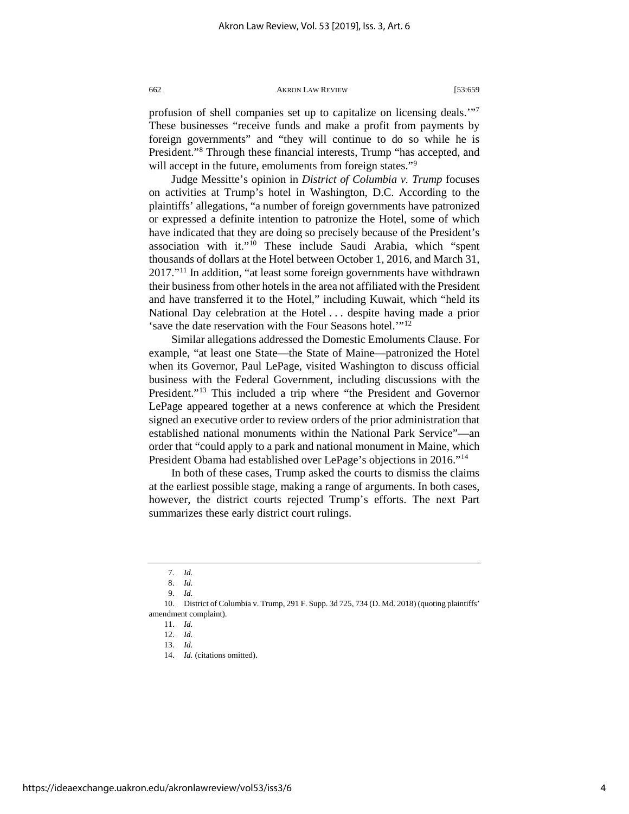profusion of shell companies set up to capitalize on licensing deals.'["7](#page-4-0) These businesses "receive funds and make a profit from payments by foreign governments" and "they will continue to do so while he is President."[8](#page-4-1) Through these financial interests, Trump "has accepted, and will accept in the future, emoluments from foreign states."<sup>[9](#page-4-2)</sup>

Judge Messitte's opinion in *District of Columbia v. Trump* focuses on activities at Trump's hotel in Washington, D.C. According to the plaintiffs' allegations, "a number of foreign governments have patronized or expressed a definite intention to patronize the Hotel, some of which have indicated that they are doing so precisely because of the President's association with it."[10](#page-4-3) These include Saudi Arabia, which "spent thousands of dollars at the Hotel between October 1, 2016, and March 31, 2017."[11](#page-4-4) In addition, "at least some foreign governments have withdrawn their business from other hotels in the area not affiliated with the President and have transferred it to the Hotel," including Kuwait, which "held its National Day celebration at the Hotel . . . despite having made a prior 'save the date reservation with the Four Seasons hotel.'"[12](#page-4-5)

Similar allegations addressed the Domestic Emoluments Clause. For example, "at least one State—the State of Maine—patronized the Hotel when its Governor, Paul LePage, visited Washington to discuss official business with the Federal Government, including discussions with the President."[13](#page-4-6) This included a trip where "the President and Governor LePage appeared together at a news conference at which the President signed an executive order to review orders of the prior administration that established national monuments within the National Park Service"—an order that "could apply to a park and national monument in Maine, which President Obama had established over LePage's objections in 2016."[14](#page-4-7)

In both of these cases, Trump asked the courts to dismiss the claims at the earliest possible stage, making a range of arguments. In both cases, however, the district courts rejected Trump's efforts. The next Part summarizes these early district court rulings.

9. *Id.*

<sup>7.</sup> *Id.*

<sup>8.</sup> *Id.*

<span id="page-4-7"></span><span id="page-4-6"></span><span id="page-4-5"></span><span id="page-4-4"></span><span id="page-4-3"></span><span id="page-4-2"></span><span id="page-4-1"></span><span id="page-4-0"></span><sup>10.</sup> District of Columbia v. Trump, 291 F. Supp. 3d 725, 734 (D. Md. 2018) (quoting plaintiffs' amendment complaint).

<sup>11.</sup> *Id.*

<sup>12.</sup> *Id.*

<sup>13.</sup> *Id.*

<sup>14.</sup> *Id.* (citations omitted).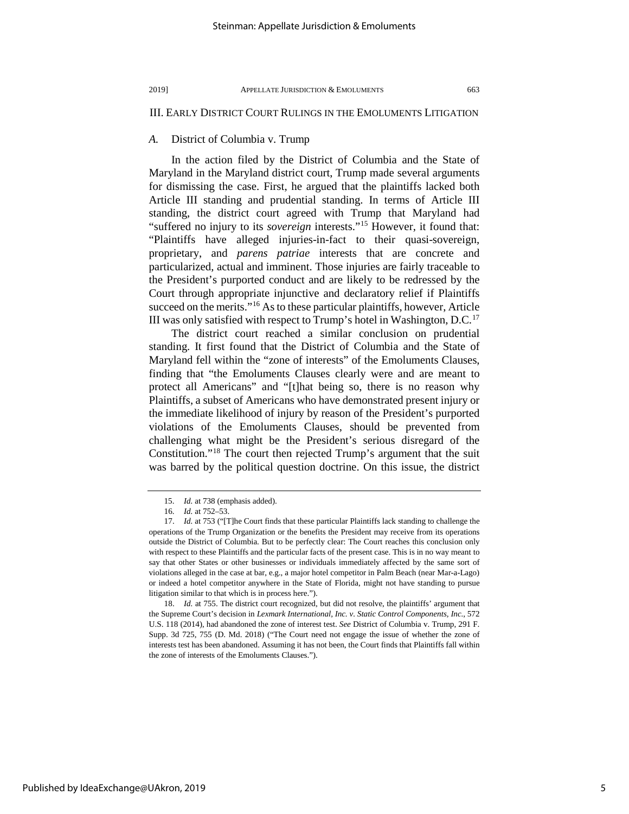### III. EARLY DISTRICT COURT RULINGS IN THE EMOLUMENTS LITIGATION

### *A.* District of Columbia v. Trump

In the action filed by the District of Columbia and the State of Maryland in the Maryland district court, Trump made several arguments for dismissing the case. First, he argued that the plaintiffs lacked both Article III standing and prudential standing. In terms of Article III standing, the district court agreed with Trump that Maryland had "suffered no injury to its *sovereign* interests."[15](#page-5-0) However, it found that: "Plaintiffs have alleged injuries-in-fact to their quasi-sovereign, proprietary, and *parens patriae* interests that are concrete and particularized, actual and imminent. Those injuries are fairly traceable to the President's purported conduct and are likely to be redressed by the Court through appropriate injunctive and declaratory relief if Plaintiffs succeed on the merits."<sup>[16](#page-5-1)</sup> As to these particular plaintiffs, however, Article III was only satisfied with respect to Trump's hotel in Washington,  $D.C.<sup>17</sup>$  $D.C.<sup>17</sup>$  $D.C.<sup>17</sup>$ 

The district court reached a similar conclusion on prudential standing. It first found that the District of Columbia and the State of Maryland fell within the "zone of interests" of the Emoluments Clauses, finding that "the Emoluments Clauses clearly were and are meant to protect all Americans" and "[t]hat being so, there is no reason why Plaintiffs, a subset of Americans who have demonstrated present injury or the immediate likelihood of injury by reason of the President's purported violations of the Emoluments Clauses, should be prevented from challenging what might be the President's serious disregard of the Constitution.["18](#page-5-3) The court then rejected Trump's argument that the suit was barred by the political question doctrine. On this issue, the district

<sup>15.</sup> *Id.* at 738 (emphasis added).

<sup>16.</sup> *Id.* at 752–53.

<span id="page-5-2"></span><span id="page-5-1"></span><span id="page-5-0"></span><sup>17.</sup> *Id.* at 753 ("[T]he Court finds that these particular Plaintiffs lack standing to challenge the operations of the Trump Organization or the benefits the President may receive from its operations outside the District of Columbia. But to be perfectly clear: The Court reaches this conclusion only with respect to these Plaintiffs and the particular facts of the present case. This is in no way meant to say that other States or other businesses or individuals immediately affected by the same sort of violations alleged in the case at bar, e.g., a major hotel competitor in Palm Beach (near Mar-a-Lago) or indeed a hotel competitor anywhere in the State of Florida, might not have standing to pursue litigation similar to that which is in process here.").

<span id="page-5-3"></span><sup>18.</sup> *Id.* at 755. The district court recognized, but did not resolve, the plaintiffs' argument that the Supreme Court's decision in *Lexmark International, Inc. v. Static Control Components, Inc.*, 572 U.S. 118 (2014), had abandoned the zone of interest test. *See* District of Columbia v. Trump, 291 F. Supp. 3d 725, 755 (D. Md. 2018) ("The Court need not engage the issue of whether the zone of interests test has been abandoned. Assuming it has not been, the Court finds that Plaintiffs fall within the zone of interests of the Emoluments Clauses.").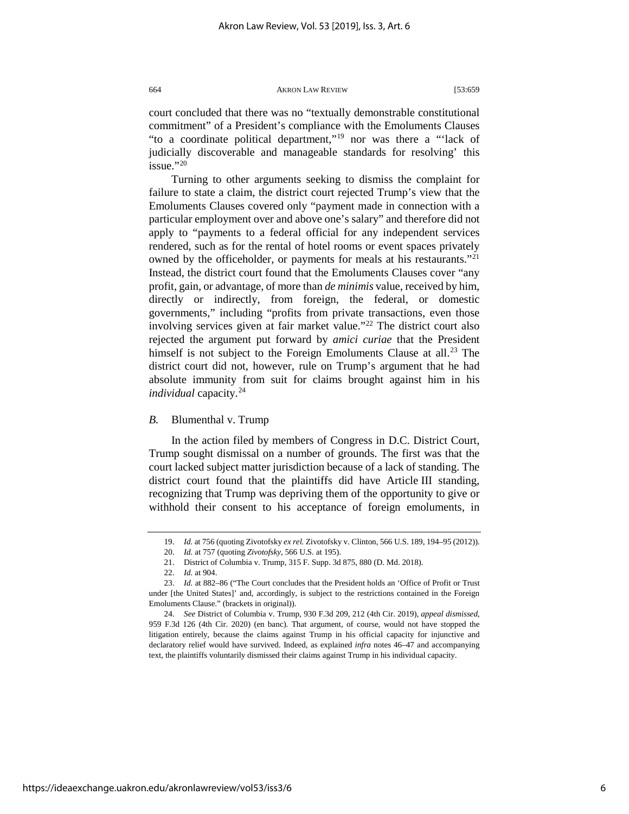court concluded that there was no "textually demonstrable constitutional commitment" of a President's compliance with the Emoluments Clauses "to a coordinate political department,"[19](#page-6-0) nor was there a "'lack of judicially discoverable and manageable standards for resolving' this issue."[20](#page-6-1)

Turning to other arguments seeking to dismiss the complaint for failure to state a claim, the district court rejected Trump's view that the Emoluments Clauses covered only "payment made in connection with a particular employment over and above one's salary" and therefore did not apply to "payments to a federal official for any independent services rendered, such as for the rental of hotel rooms or event spaces privately owned by the officeholder, or payments for meals at his restaurants."[21](#page-6-2) Instead, the district court found that the Emoluments Clauses cover "any profit, gain, or advantage, of more than *de minimis* value, received by him, directly or indirectly, from foreign, the federal, or domestic governments," including "profits from private transactions, even those involving services given at fair market value."<sup>[22](#page-6-3)</sup> The district court also rejected the argument put forward by *amici curiae* that the President himself is not subject to the Foreign Emoluments Clause at all.<sup>[23](#page-6-4)</sup> The district court did not, however, rule on Trump's argument that he had absolute immunity from suit for claims brought against him in his *individual* capacity.[24](#page-6-5)

#### *B.* Blumenthal v. Trump

In the action filed by members of Congress in D.C. District Court, Trump sought dismissal on a number of grounds. The first was that the court lacked subject matter jurisdiction because of a lack of standing. The district court found that the plaintiffs did have Article III standing, recognizing that Trump was depriving them of the opportunity to give or withhold their consent to his acceptance of foreign emoluments, in

<sup>19.</sup> *Id.* at 756 (quoting Zivotofsky *ex rel.* Zivotofsky v. Clinton, 566 U.S. 189, 194–95 (2012)).

<sup>20.</sup> *Id.* at 757 (quoting *Zivotofsky*, 566 U.S. at 195).

<sup>21.</sup> District of Columbia v. Trump, 315 F. Supp. 3d 875, 880 (D. Md. 2018).

<sup>22.</sup> *Id.* at 904.

<span id="page-6-4"></span><span id="page-6-3"></span><span id="page-6-2"></span><span id="page-6-1"></span><span id="page-6-0"></span><sup>23.</sup> *Id.* at 882–86 ("The Court concludes that the President holds an 'Office of Profit or Trust under [the United States]' and, accordingly, is subject to the restrictions contained in the Foreign Emoluments Clause." (brackets in original)).

<span id="page-6-5"></span><sup>24.</sup> *See* District of Columbia v. Trump, 930 F.3d 209, 212 (4th Cir. 2019), *appeal dismissed*, 959 F.3d 126 (4th Cir. 2020) (en banc). That argument, of course, would not have stopped the litigation entirely, because the claims against Trump in his official capacity for injunctive and declaratory relief would have survived. Indeed, as explained *infra* notes [46](#page-9-0)[–47](#page-10-0) and accompanying text, the plaintiffs voluntarily dismissed their claims against Trump in his individual capacity.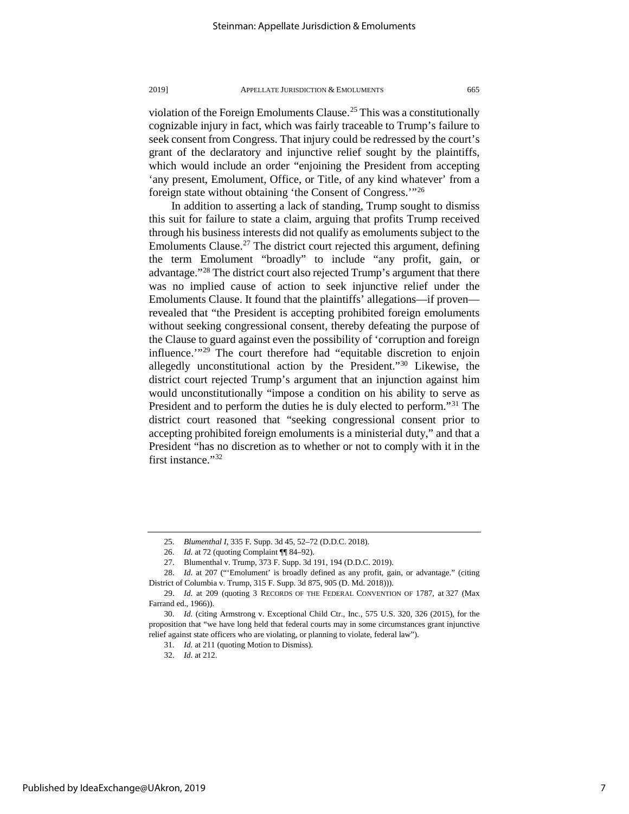violation of the Foreign Emoluments Clause.<sup>[25](#page-7-0)</sup> This was a constitutionally cognizable injury in fact, which was fairly traceable to Trump's failure to seek consent from Congress. That injury could be redressed by the court's grant of the declaratory and injunctive relief sought by the plaintiffs, which would include an order "enjoining the President from accepting 'any present, Emolument, Office, or Title, of any kind whatever' from a foreign state without obtaining 'the Consent of Congress.'"[26](#page-7-1)

In addition to asserting a lack of standing, Trump sought to dismiss this suit for failure to state a claim, arguing that profits Trump received through his business interests did not qualify as emoluments subject to the Emoluments Clause.<sup>[27](#page-7-2)</sup> The district court rejected this argument, defining the term Emolument "broadly" to include "any profit, gain, or advantage."[28](#page-7-3) The district court also rejected Trump's argument that there was no implied cause of action to seek injunctive relief under the Emoluments Clause. It found that the plaintiffs' allegations—if proven revealed that "the President is accepting prohibited foreign emoluments without seeking congressional consent, thereby defeating the purpose of the Clause to guard against even the possibility of 'corruption and foreign influence.'"[29](#page-7-4) The court therefore had "equitable discretion to enjoin allegedly unconstitutional action by the President."[30](#page-7-5) Likewise, the district court rejected Trump's argument that an injunction against him would unconstitutionally "impose a condition on his ability to serve as President and to perform the duties he is duly elected to perform."<sup>[31](#page-7-6)</sup> The district court reasoned that "seeking congressional consent prior to accepting prohibited foreign emoluments is a ministerial duty," and that a President "has no discretion as to whether or not to comply with it in the first instance."[32](#page-7-7)

<sup>25.</sup> *Blumenthal I*, 335 F. Supp. 3d 45, 52–72 (D.D.C. 2018).

<sup>26.</sup> *Id.* at 72 (quoting Complaint ¶¶ 84–92).

<sup>27.</sup> Blumenthal v. Trump, 373 F. Supp. 3d 191, 194 (D.D.C. 2019).

<span id="page-7-3"></span><span id="page-7-2"></span><span id="page-7-1"></span><span id="page-7-0"></span><sup>28.</sup> *Id.* at 207 ("'Emolument' is broadly defined as any profit, gain, or advantage." (citing District of Columbia v. Trump, 315 F. Supp. 3d 875, 905 (D. Md. 2018))).

<span id="page-7-4"></span><sup>29.</sup> *Id.* at 209 (quoting 3 RECORDS OF THE FEDERAL CONVENTION OF 1787, at 327 (Max Farrand ed., 1966)).

<span id="page-7-7"></span><span id="page-7-6"></span><span id="page-7-5"></span><sup>30.</sup> *Id.* (citing Armstrong v. Exceptional Child Ctr., Inc., 575 U.S. 320, 326 (2015), for the proposition that "we have long held that federal courts may in some circumstances grant injunctive relief against state officers who are violating, or planning to violate, federal law").

<sup>31.</sup> *Id.* at 211 (quoting Motion to Dismiss).

<sup>32.</sup> *Id.* at 212.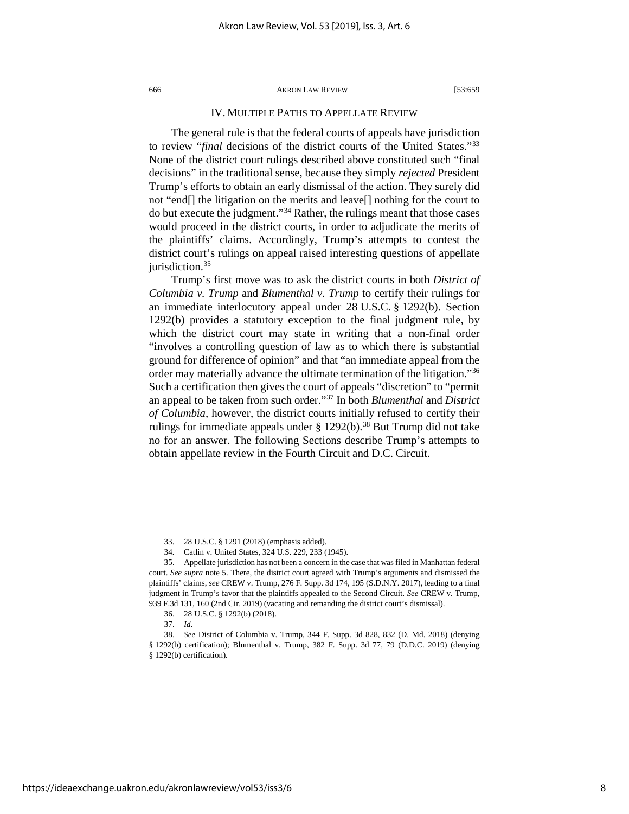### IV. MULTIPLE PATHS TO APPELLATE REVIEW

The general rule is that the federal courts of appeals have jurisdiction to review "*final* decisions of the district courts of the United States."[33](#page-8-1) None of the district court rulings described above constituted such "final decisions" in the traditional sense, because they simply *rejected* President Trump's efforts to obtain an early dismissal of the action. They surely did not "end[] the litigation on the merits and leave[] nothing for the court to do but execute the judgment."[34](#page-8-2) Rather, the rulings meant that those cases would proceed in the district courts, in order to adjudicate the merits of the plaintiffs' claims. Accordingly, Trump's attempts to contest the district court's rulings on appeal raised interesting questions of appellate jurisdiction.<sup>35</sup>

<span id="page-8-0"></span>Trump's first move was to ask the district courts in both *District of Columbia v. Trump* and *Blumenthal v. Trump* to certify their rulings for an immediate interlocutory appeal under 28 U.S.C. § 1292(b). Section 1292(b) provides a statutory exception to the final judgment rule, by which the district court may state in writing that a non-final order "involves a controlling question of law as to which there is substantial ground for difference of opinion" and that "an immediate appeal from the order may materially advance the ultimate termination of the litigation."[36](#page-8-4) Such a certification then gives the court of appeals "discretion" to "permit an appeal to be taken from such order."[37](#page-8-5) In both *Blumenthal* and *District of Columbia*, however, the district courts initially refused to certify their rulings for immediate appeals under  $\S 1292(b)$ .<sup>38</sup> But Trump did not take no for an answer. The following Sections describe Trump's attempts to obtain appellate review in the Fourth Circuit and D.C. Circuit.

<sup>33.</sup> 28 U.S.C. § 1291 (2018) (emphasis added).

<sup>34.</sup> Catlin v. United States, 324 U.S. 229, 233 (1945).

<span id="page-8-3"></span><span id="page-8-2"></span><span id="page-8-1"></span><sup>35.</sup> Appellate jurisdiction has not been a concern in the case that was filed in Manhattan federal court. *See supra* note [5.](#page-3-4) There, the district court agreed with Trump's arguments and dismissed the plaintiffs' claims, *see* CREW v. Trump, 276 F. Supp. 3d 174, 195 (S.D.N.Y. 2017), leading to a final judgment in Trump's favor that the plaintiffs appealed to the Second Circuit. *See* CREW v. Trump, 939 F.3d 131, 160 (2nd Cir. 2019) (vacating and remanding the district court's dismissal).

<sup>36.</sup> 28 U.S.C. § 1292(b) (2018).

<sup>37.</sup> *Id.*

<span id="page-8-6"></span><span id="page-8-5"></span><span id="page-8-4"></span><sup>38.</sup> *See* District of Columbia v. Trump, 344 F. Supp. 3d 828, 832 (D. Md. 2018) (denying § 1292(b) certification); Blumenthal v. Trump, 382 F. Supp. 3d 77, 79 (D.D.C. 2019) (denying

<sup>§ 1292(</sup>b) certification).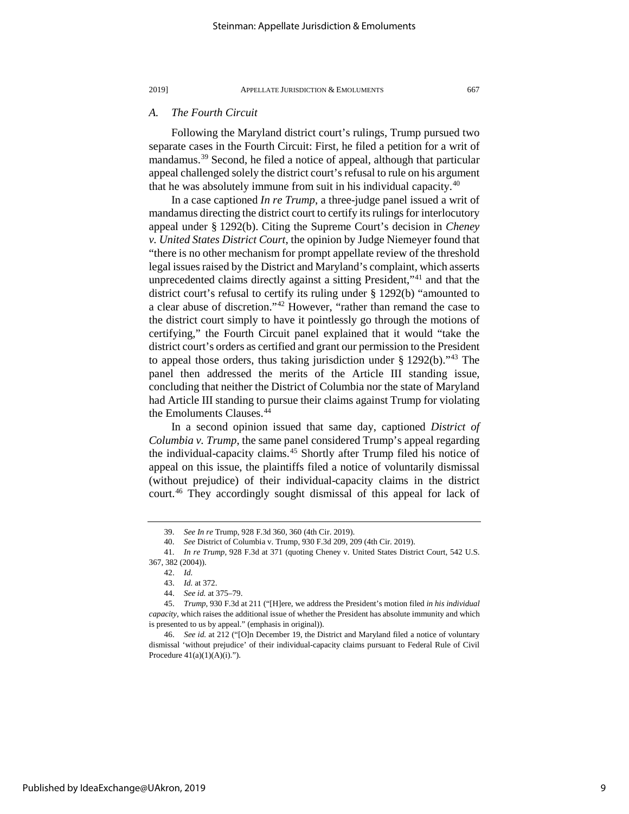### *A. The Fourth Circuit*

Following the Maryland district court's rulings, Trump pursued two separate cases in the Fourth Circuit: First, he filed a petition for a writ of mandamus.[39](#page-9-1) Second, he filed a notice of appeal, although that particular appeal challenged solely the district court's refusal to rule on his argument that he was absolutely immune from suit in his individual capacity.[40](#page-9-2)

In a case captioned *In re Trump*, a three-judge panel issued a writ of mandamus directing the district court to certify its rulings for interlocutory appeal under § 1292(b). Citing the Supreme Court's decision in *Cheney v. United States District Court*, the opinion by Judge Niemeyer found that "there is no other mechanism for prompt appellate review of the threshold legal issues raised by the District and Maryland's complaint, which asserts unprecedented claims directly against a sitting President,"<sup>[41](#page-9-3)</sup> and that the district court's refusal to certify its ruling under § 1292(b) "amounted to a clear abuse of discretion."[42](#page-9-4) However, "rather than remand the case to the district court simply to have it pointlessly go through the motions of certifying," the Fourth Circuit panel explained that it would "take the district court's orders as certified and grant our permission to the President to appeal those orders, thus taking jurisdiction under  $\S 1292(b)$ ."<sup>[43](#page-9-5)</sup> The panel then addressed the merits of the Article III standing issue, concluding that neither the District of Columbia nor the state of Maryland had Article III standing to pursue their claims against Trump for violating the Emoluments Clauses.<sup>[44](#page-9-6)</sup>

<span id="page-9-9"></span>In a second opinion issued that same day, captioned *District of Columbia v. Trump*, the same panel considered Trump's appeal regarding the individual-capacity claims.<sup>[45](#page-9-7)</sup> Shortly after Trump filed his notice of appeal on this issue, the plaintiffs filed a notice of voluntarily dismissal (without prejudice) of their individual-capacity claims in the district court.<sup>[46](#page-9-8)</sup> They accordingly sought dismissal of this appeal for lack of

<span id="page-9-0"></span><sup>39.</sup> *See In re* Trump, 928 F.3d 360, 360 (4th Cir. 2019).

<sup>40.</sup> *See* District of Columbia v. Trump, 930 F.3d 209, 209 (4th Cir. 2019).

<span id="page-9-4"></span><span id="page-9-3"></span><span id="page-9-2"></span><span id="page-9-1"></span><sup>41.</sup> *In re Trump*, 928 F.3d at 371 (quoting Cheney v. United States District Court, 542 U.S. 367, 382 (2004)).

<sup>42.</sup> *Id.*

<sup>43.</sup> *Id.* at 372.

<sup>44.</sup> *See id.* at 375–79.

<span id="page-9-7"></span><span id="page-9-6"></span><span id="page-9-5"></span><sup>45.</sup> *Trump*, 930 F.3d at 211 ("[H]ere, we address the President's motion filed *in his individual capacity*, which raises the additional issue of whether the President has absolute immunity and which is presented to us by appeal." (emphasis in original)).

<span id="page-9-8"></span><sup>46.</sup> *See id.* at 212 ("[O]n December 19, the District and Maryland filed a notice of voluntary dismissal 'without prejudice' of their individual-capacity claims pursuant to Federal Rule of Civil Procedure  $41(a)(1)(A)(i)$ .").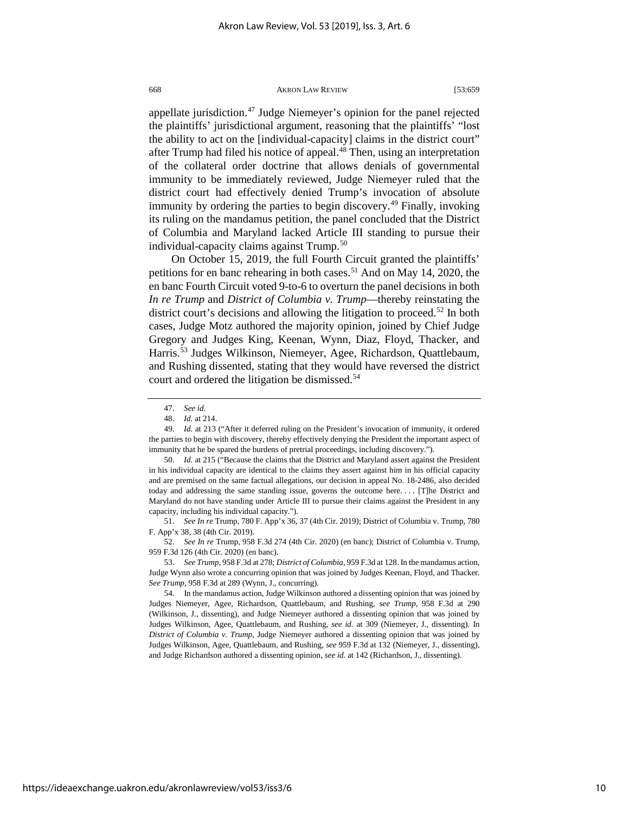<span id="page-10-0"></span>appellate jurisdiction.<sup>[47](#page-10-1)</sup> Judge Niemeyer's opinion for the panel rejected the plaintiffs' jurisdictional argument, reasoning that the plaintiffs' "lost the ability to act on the [individual-capacity] claims in the district court" after Trump had filed his notice of appeal.<sup>48</sup> Then, using an interpretation of the collateral order doctrine that allows denials of governmental immunity to be immediately reviewed, Judge Niemeyer ruled that the district court had effectively denied Trump's invocation of absolute immunity by ordering the parties to begin discovery.<sup>[49](#page-10-3)</sup> Finally, invoking its ruling on the mandamus petition, the panel concluded that the District of Columbia and Maryland lacked Article III standing to pursue their individual-capacity claims against Trump. [50](#page-10-4)

<span id="page-10-9"></span>On October 15, 2019, the full Fourth Circuit granted the plaintiffs' petitions for en banc rehearing in both cases.<sup>51</sup> And on May 14, 2020, the en banc Fourth Circuit voted 9-to-6 to overturn the panel decisions in both *In re Trump* and *District of Columbia v. Trump*—thereby reinstating the district court's decisions and allowing the litigation to proceed.<sup>[52](#page-10-6)</sup> In both cases, Judge Motz authored the majority opinion, joined by Chief Judge Gregory and Judges King, Keenan, Wynn, Diaz, Floyd, Thacker, and Harris.[53](#page-10-7) Judges Wilkinson, Niemeyer, Agee, Richardson, Quattlebaum, and Rushing dissented, stating that they would have reversed the district court and ordered the litigation be dismissed.<sup>[54](#page-10-8)</sup>

<span id="page-10-4"></span>50. *Id.* at 215 ("Because the claims that the District and Maryland assert against the President in his individual capacity are identical to the claims they assert against him in his official capacity and are premised on the same factual allegations, our decision in appeal No. 18-2486, also decided today and addressing the same standing issue, governs the outcome here. . . . [T]he District and Maryland do not have standing under Article III to pursue their claims against the President in any capacity, including his individual capacity.").

<span id="page-10-5"></span>51. *See In re* Trump, 780 F. App'x 36, 37 (4th Cir. 2019); District of Columbia v. Trump, 780 F. App'x 38, 38 (4th Cir. 2019).

<span id="page-10-6"></span>52. *See In re* Trump, 958 F.3d 274 (4th Cir. 2020) (en banc); District of Columbia v. Trump, 959 F.3d 126 (4th Cir. 2020) (en banc).

<span id="page-10-7"></span>53. *See Trump*, 958 F.3d at 278; *District of Columbia*, 959 F.3d at 128. In the mandamus action, Judge Wynn also wrote a concurring opinion that was joined by Judges Keenan, Floyd, and Thacker. *See Trump*, 958 F.3d at 289 (Wynn, J., concurring).

<span id="page-10-8"></span>54. In the mandamus action, Judge Wilkinson authored a dissenting opinion that was joined by Judges Niemeyer, Agee, Richardson, Quattlebaum, and Rushing, *see Trump*, 958 F.3d at 290 (Wilkinson, J., dissenting), and Judge Niemeyer authored a dissenting opinion that was joined by Judges Wilkinson, Agee, Quattlebaum, and Rushing, *see id.* at 309 (Niemeyer, J., dissenting). In *District of Columbia v. Trump*, Judge Niemeyer authored a dissenting opinion that was joined by Judges Wilkinson, Agee, Quattlebaum, and Rushing, *see* 959 F.3d at 132 (Niemeyer, J., dissenting), and Judge Richardson authored a dissenting opinion, *see id.* at 142 (Richardson, J., dissenting).

<sup>47.</sup> *See id.* 

<sup>48.</sup> *Id.* at 214.

<span id="page-10-3"></span><span id="page-10-2"></span><span id="page-10-1"></span><sup>49.</sup> *Id.* at 213 ("After it deferred ruling on the President's invocation of immunity, it ordered the parties to begin with discovery, thereby effectively denying the President the important aspect of immunity that he be spared the burdens of pretrial proceedings, including discovery.").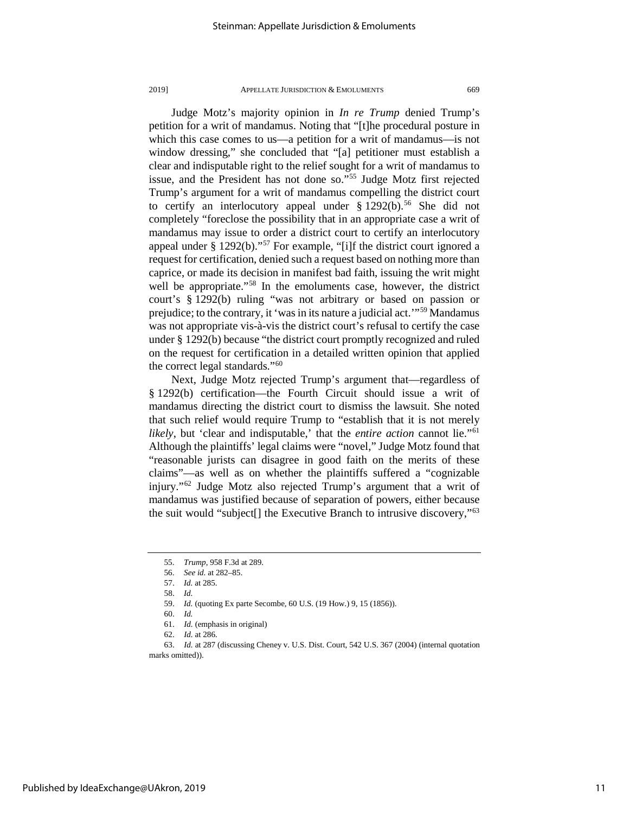Judge Motz's majority opinion in *In re Trump* denied Trump's petition for a writ of mandamus. Noting that "[t]he procedural posture in which this case comes to us—a petition for a writ of mandamus—is not window dressing," she concluded that "[a] petitioner must establish a clear and indisputable right to the relief sought for a writ of mandamus to issue, and the President has not done so."[55](#page-11-0) Judge Motz first rejected Trump's argument for a writ of mandamus compelling the district court to certify an interlocutory appeal under  $\S 1292(b)$ .<sup>56</sup> She did not completely "foreclose the possibility that in an appropriate case a writ of mandamus may issue to order a district court to certify an interlocutory appeal under  $\S 1292(b)$ ."<sup>[57](#page-11-2)</sup> For example, "[i]f the district court ignored a request for certification, denied such a request based on nothing more than caprice, or made its decision in manifest bad faith, issuing the writ might well be appropriate."<sup>[58](#page-11-3)</sup> In the emoluments case, however, the district court's § 1292(b) ruling "was not arbitrary or based on passion or prejudice; to the contrary, it 'was in its nature a judicial act.'"[59](#page-11-4) Mandamus was not appropriate vis-à-vis the district court's refusal to certify the case under § 1292(b) because "the district court promptly recognized and ruled on the request for certification in a detailed written opinion that applied the correct legal standards."<sup>[60](#page-11-5)</sup>

Next, Judge Motz rejected Trump's argument that—regardless of § 1292(b) certification—the Fourth Circuit should issue a writ of mandamus directing the district court to dismiss the lawsuit. She noted that such relief would require Trump to "establish that it is not merely *likely*, but 'clear and indisputable,' that the *entire action* cannot lie."[61](#page-11-6) Although the plaintiffs' legal claims were "novel," Judge Motz found that "reasonable jurists can disagree in good faith on the merits of these claims"—as well as on whether the plaintiffs suffered a "cognizable injury."[62](#page-11-7) Judge Motz also rejected Trump's argument that a writ of mandamus was justified because of separation of powers, either because the suit would "subject[] the Executive Branch to intrusive discovery,"[63](#page-11-8)

61. *Id.* (emphasis in original)

<sup>55.</sup> *Trump*, 958 F.3d at 289.

<span id="page-11-1"></span><span id="page-11-0"></span><sup>56.</sup> *See id.* at 282–85.

<sup>57.</sup> *Id.* at 285.

<sup>58.</sup> *Id.*

<span id="page-11-2"></span><sup>59.</sup> *Id.* (quoting Ex parte Secombe, 60 U.S. (19 How.) 9, 15 (1856)).

<sup>60.</sup> *Id.*

<sup>62.</sup> *Id.* at 286.

<span id="page-11-8"></span><span id="page-11-7"></span><span id="page-11-6"></span><span id="page-11-5"></span><span id="page-11-4"></span><span id="page-11-3"></span><sup>63.</sup> *Id.* at 287 (discussing Cheney v. U.S. Dist. Court, 542 U.S. 367 (2004) (internal quotation marks omitted)).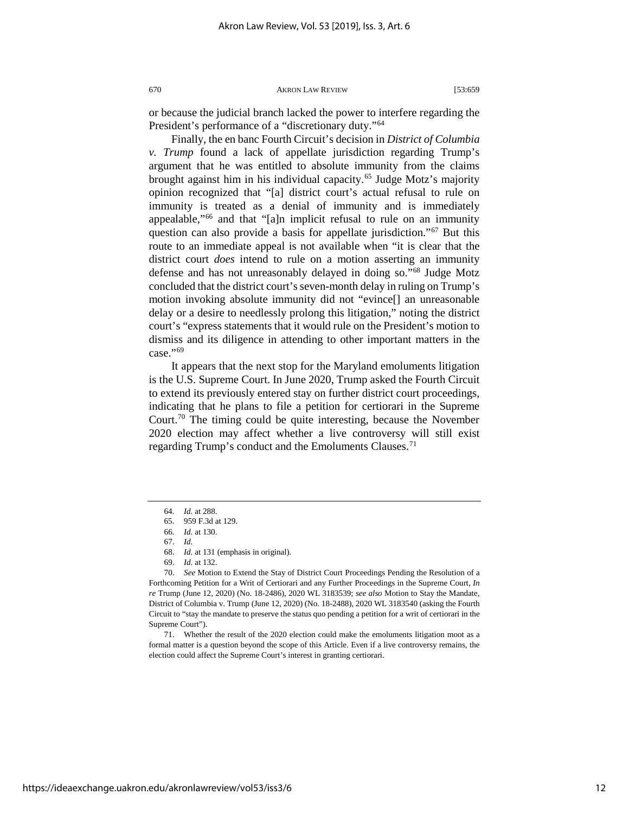<span id="page-12-10"></span>or because the judicial branch lacked the power to interfere regarding the President's performance of a "discretionary duty."<sup>[64](#page-12-2)</sup>

Finally, the en banc Fourth Circuit's decision in *District of Columbia v. Trump* found a lack of appellate jurisdiction regarding Trump's argument that he was entitled to absolute immunity from the claims brought against him in his individual capacity.<sup>[65](#page-12-3)</sup> Judge Motz's majority opinion recognized that "[a] district court's actual refusal to rule on immunity is treated as a denial of immunity and is immediately appealable,"[66](#page-12-4) and that "[a]n implicit refusal to rule on an immunity question can also provide a basis for appellate jurisdiction."[67](#page-12-5) But this route to an immediate appeal is not available when "it is clear that the district court *does* intend to rule on a motion asserting an immunity defense and has not unreasonably delayed in doing so."[68](#page-12-6) Judge Motz concluded that the district court's seven-month delay in ruling on Trump's motion invoking absolute immunity did not "evince[] an unreasonable delay or a desire to needlessly prolong this litigation," noting the district court's "express statements that it would rule on the President's motion to dismiss and its diligence in attending to other important matters in the case."<sup>[69](#page-12-7)</sup>

<span id="page-12-0"></span>It appears that the next stop for the Maryland emoluments litigation is the U.S. Supreme Court. In June 2020, Trump asked the Fourth Circuit to extend its previously entered stay on further district court proceedings, indicating that he plans to file a petition for certiorari in the Supreme Court.<sup>[70](#page-12-8)</sup> The timing could be quite interesting, because the November 2020 election may affect whether a live controversy will still exist regarding Trump's conduct and the Emoluments Clauses.<sup>[71](#page-12-9)</sup>

<span id="page-12-9"></span>71. Whether the result of the 2020 election could make the emoluments litigation moot as a formal matter is a question beyond the scope of this Article. Even if a live controversy remains, the election could affect the Supreme Court's interest in granting certiorari.

<span id="page-12-1"></span><sup>64.</sup> *Id.* at 288.

<sup>65.</sup> 959 F.3d at 129.

<sup>66.</sup> *Id.* at 130.

<sup>67.</sup> *Id.*

<sup>68.</sup> *Id.* at 131 (emphasis in original).

<sup>69.</sup> *Id.* at 132.

<span id="page-12-8"></span><span id="page-12-7"></span><span id="page-12-6"></span><span id="page-12-5"></span><span id="page-12-4"></span><span id="page-12-3"></span><span id="page-12-2"></span><sup>70.</sup> *See* Motion to Extend the Stay of District Court Proceedings Pending the Resolution of a Forthcoming Petition for a Writ of Certiorari and any Further Proceedings in the Supreme Court, *In re* Trump (June 12, 2020) (No. 18-2486), 2020 WL 3183539; *see also* Motion to Stay the Mandate, District of Columbia v. Trump (June 12, 2020) (No. 18-2488), 2020 WL 3183540 (asking the Fourth Circuit to "stay the mandate to preserve the status quo pending a petition for a writ of certiorari in the Supreme Court").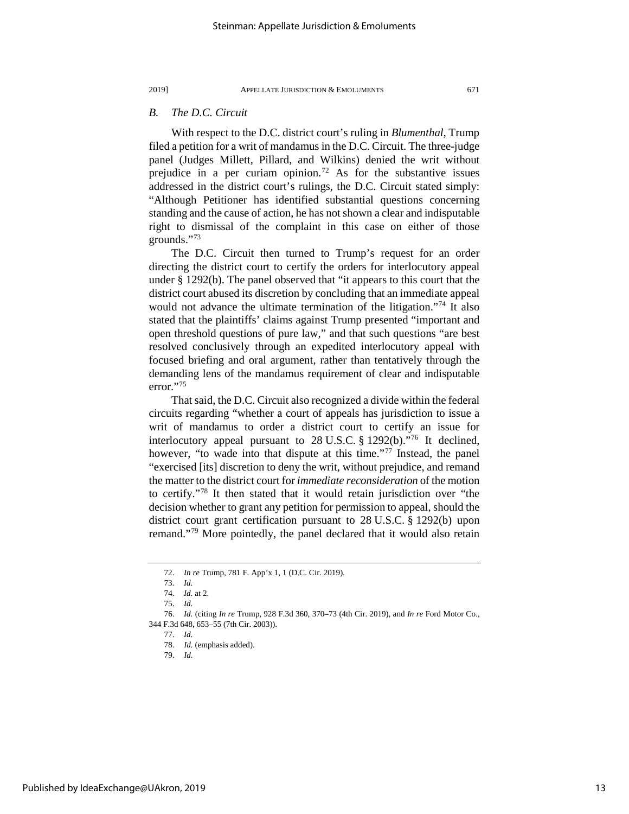### *B. The D.C. Circuit*

<span id="page-13-8"></span>With respect to the D.C. district court's ruling in *Blumenthal*, Trump filed a petition for a writ of mandamus in the D.C. Circuit. The three-judge panel (Judges Millett, Pillard, and Wilkins) denied the writ without prejudice in a per curiam opinion.<sup>[72](#page-13-0)</sup> As for the substantive issues addressed in the district court's rulings, the D.C. Circuit stated simply: "Although Petitioner has identified substantial questions concerning standing and the cause of action, he has not shown a clear and indisputable right to dismissal of the complaint in this case on either of those grounds."[73](#page-13-1)

The D.C. Circuit then turned to Trump's request for an order directing the district court to certify the orders for interlocutory appeal under § 1292(b). The panel observed that "it appears to this court that the district court abused its discretion by concluding that an immediate appeal would not advance the ultimate termination of the litigation."<sup>[74](#page-13-2)</sup> It also stated that the plaintiffs' claims against Trump presented "important and open threshold questions of pure law," and that such questions "are best resolved conclusively through an expedited interlocutory appeal with focused briefing and oral argument, rather than tentatively through the demanding lens of the mandamus requirement of clear and indisputable error.["75](#page-13-3)

That said, the D.C. Circuit also recognized a divide within the federal circuits regarding "whether a court of appeals has jurisdiction to issue a writ of mandamus to order a district court to certify an issue for interlocutory appeal pursuant to 28 U.S.C. § 1292(b)."[76](#page-13-4) It declined, however, "to wade into that dispute at this time."<sup>[77](#page-13-5)</sup> Instead, the panel "exercised [its] discretion to deny the writ, without prejudice, and remand the matter to the district court for *immediate reconsideration* of the motion to certify."[78](#page-13-6) It then stated that it would retain jurisdiction over "the decision whether to grant any petition for permission to appeal, should the district court grant certification pursuant to 28 U.S.C. § 1292(b) upon remand."[79](#page-13-7) More pointedly, the panel declared that it would also retain

<sup>72.</sup> *In re* Trump, 781 F. App'x 1, 1 (D.C. Cir. 2019).

<sup>73.</sup> *Id.*

<sup>74.</sup> *Id.* at 2.

<sup>75.</sup> *Id.*

<span id="page-13-7"></span><span id="page-13-6"></span><span id="page-13-5"></span><span id="page-13-4"></span><span id="page-13-3"></span><span id="page-13-2"></span><span id="page-13-1"></span><span id="page-13-0"></span><sup>76.</sup> *Id.* (citing *In re* Trump, 928 F.3d 360, 370–73 (4th Cir. 2019), and *In re* Ford Motor Co., 344 F.3d 648, 653–55 (7th Cir. 2003)).

<sup>77.</sup> *Id.*

<sup>78.</sup> *Id.* (emphasis added).

<sup>79.</sup> *Id.*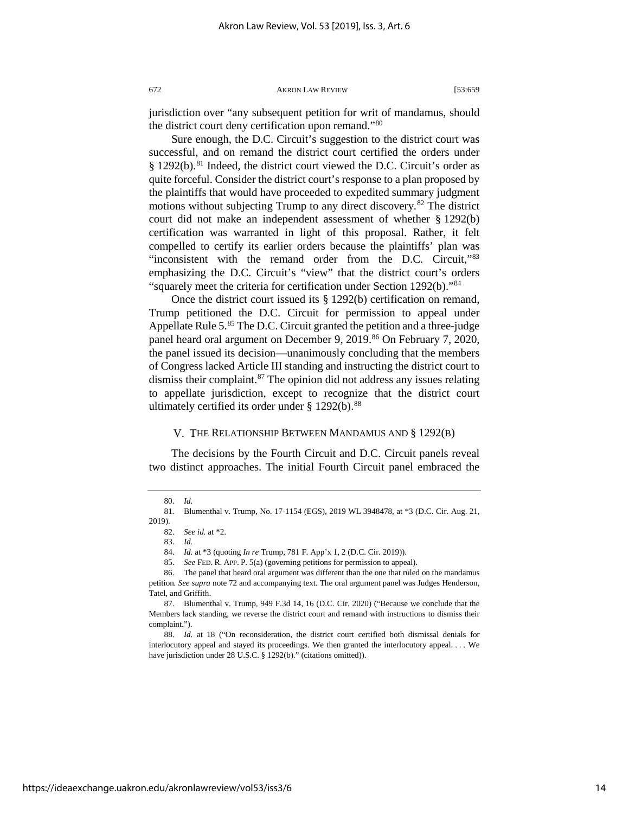jurisdiction over "any subsequent petition for writ of mandamus, should

Sure enough, the D.C. Circuit's suggestion to the district court was successful, and on remand the district court certified the orders under  $§$  1292(b).<sup>[81](#page-14-1)</sup> Indeed, the district court viewed the D.C. Circuit's order as

the district court deny certification upon remand."[80](#page-14-0)

quite forceful. Consider the district court's response to a plan proposed by the plaintiffs that would have proceeded to expedited summary judgment motions without subjecting Trump to any direct discovery.<sup>[82](#page-14-2)</sup> The district court did not make an independent assessment of whether § 1292(b) certification was warranted in light of this proposal. Rather, it felt compelled to certify its earlier orders because the plaintiffs' plan was "inconsistent with the remand order from the D.C. Circuit,"[83](#page-14-3) emphasizing the D.C. Circuit's "view" that the district court's orders "squarely meet the criteria for certification under Section 1292(b)."[84](#page-14-4)

Once the district court issued its § 1292(b) certification on remand, Trump petitioned the D.C. Circuit for permission to appeal under Appellate Rule 5.<sup>[85](#page-14-5)</sup> The D.C. Circuit granted the petition and a three-judge panel heard oral argument on December 9, 2019.<sup>[86](#page-14-6)</sup> On February 7, 2020, the panel issued its decision—unanimously concluding that the members of Congress lacked Article III standing and instructing the district court to dismiss their complaint. $87$  The opinion did not address any issues relating to appellate jurisdiction, except to recognize that the district court ultimately certified its order under  $\S 1292(b)$ .<sup>[88](#page-14-8)</sup>

### V. THE RELATIONSHIP BETWEEN MANDAMUS AND § 1292(B)

The decisions by the Fourth Circuit and D.C. Circuit panels reveal two distinct approaches. The initial Fourth Circuit panel embraced the

<sup>80.</sup> *Id.*

<span id="page-14-2"></span><span id="page-14-1"></span><span id="page-14-0"></span><sup>81.</sup> Blumenthal v. Trump, No. 17-1154 (EGS), 2019 WL 3948478, at \*3 (D.C. Cir. Aug. 21, 2019).

<sup>82.</sup> *See id.* at \*2.

<sup>83.</sup> *Id.*

<sup>84.</sup> *Id.* at \*3 (quoting *In re* Trump, 781 F. App'x 1, 2 (D.C. Cir. 2019)).

<sup>85.</sup> *See* FED. R. APP. P. 5(a) (governing petitions for permission to appeal).

<span id="page-14-6"></span><span id="page-14-5"></span><span id="page-14-4"></span><span id="page-14-3"></span><sup>86.</sup> The panel that heard oral argument was different than the one that ruled on the mandamus petition*. See supra* note [72](#page-13-8) and accompanying text. The oral argument panel was Judges Henderson, Tatel, and Griffith.

<span id="page-14-7"></span><sup>87.</sup> Blumenthal v. Trump, 949 F.3d 14, 16 (D.C. Cir. 2020) ("Because we conclude that the Members lack standing, we reverse the district court and remand with instructions to dismiss their complaint.").

<span id="page-14-8"></span><sup>88.</sup> *Id.* at 18 ("On reconsideration, the district court certified both dismissal denials for interlocutory appeal and stayed its proceedings. We then granted the interlocutory appeal. . . . We have jurisdiction under 28 U.S.C. § 1292(b)." (citations omitted)).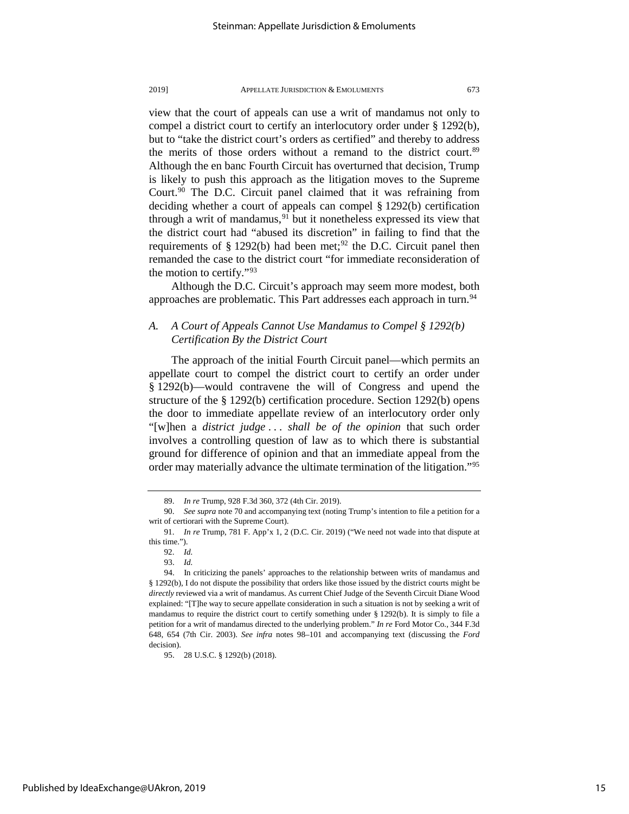view that the court of appeals can use a writ of mandamus not only to compel a district court to certify an interlocutory order under § 1292(b), but to "take the district court's orders as certified" and thereby to address the merits of those orders without a remand to the district court.<sup>[89](#page-15-0)</sup> Although the en banc Fourth Circuit has overturned that decision, Trump is likely to push this approach as the litigation moves to the Supreme Court.<sup>[90](#page-15-1)</sup> The D.C. Circuit panel claimed that it was refraining from deciding whether a court of appeals can compel § 1292(b) certification through a writ of mandamus,  $91$  but it nonetheless expressed its view that the district court had "abused its discretion" in failing to find that the requirements of  $\S 1292(b)$  $\S 1292(b)$  $\S 1292(b)$  had been met;<sup>92</sup> the D.C. Circuit panel then remanded the case to the district court "for immediate reconsideration of the motion to certify."[93](#page-15-4)

Although the D.C. Circuit's approach may seem more modest, both approaches are problematic. This Part addresses each approach in turn.<sup>[94](#page-15-5)</sup>

### *A. A Court of Appeals Cannot Use Mandamus to Compel § 1292(b) Certification By the District Court*

The approach of the initial Fourth Circuit panel—which permits an appellate court to compel the district court to certify an order under § 1292(b)—would contravene the will of Congress and upend the structure of the § 1292(b) certification procedure. Section 1292(b) opens the door to immediate appellate review of an interlocutory order only "[w]hen a *district judge* . . . *shall be of the opinion* that such order involves a controlling question of law as to which there is substantial ground for difference of opinion and that an immediate appeal from the order may materially advance the ultimate termination of the litigation."[95](#page-15-6)

<span id="page-15-7"></span><sup>89.</sup> *In re* Trump, 928 F.3d 360, 372 (4th Cir. 2019).

<span id="page-15-1"></span><span id="page-15-0"></span><sup>90.</sup> *See supra* not[e 70](#page-12-0) and accompanying text (noting Trump's intention to file a petition for a writ of certiorari with the Supreme Court).

<span id="page-15-2"></span><sup>91.</sup> *In re* Trump, 781 F. App'x 1, 2 (D.C. Cir. 2019) ("We need not wade into that dispute at this time.").

<sup>92.</sup> *Id.*

<sup>93.</sup> *Id.*

<span id="page-15-5"></span><span id="page-15-4"></span><span id="page-15-3"></span><sup>94.</sup> In criticizing the panels' approaches to the relationship between writs of mandamus and § 1292(b), I do not dispute the possibility that orders like those issued by the district courts might be *directly* reviewed via a writ of mandamus. As current Chief Judge of the Seventh Circuit Diane Wood explained: "[T]he way to secure appellate consideration in such a situation is not by seeking a writ of mandamus to require the district court to certify something under § 1292(b). It is simply to file a petition for a writ of mandamus directed to the underlying problem." *In re* Ford Motor Co., 344 F.3d 648, 654 (7th Cir. 2003). *See infra* notes [98–](#page-16-0)[101](#page-16-1) and accompanying text (discussing the *Ford*  decision).

<span id="page-15-6"></span><sup>95.</sup> 28 U.S.C. § 1292(b) (2018).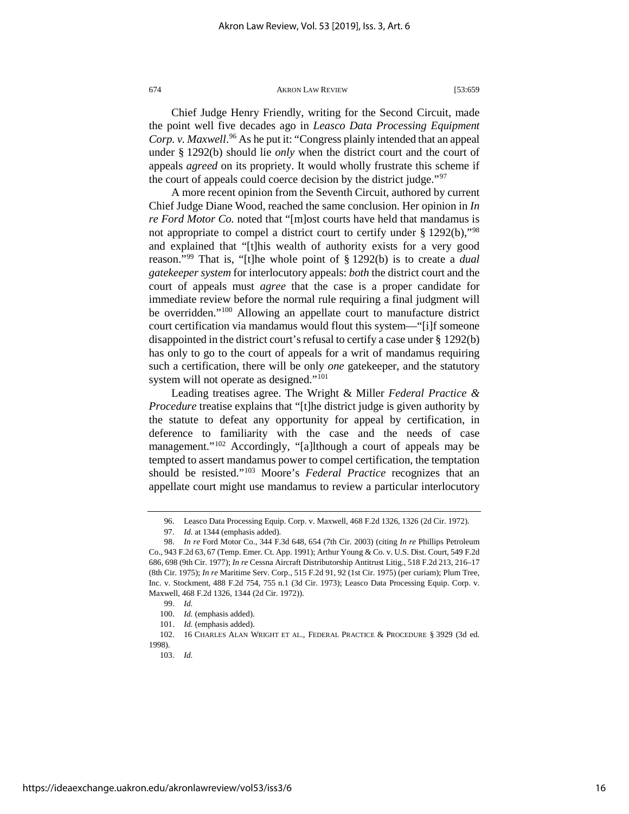<span id="page-16-0"></span>

<span id="page-16-10"></span>Chief Judge Henry Friendly, writing for the Second Circuit, made the point well five decades ago in *Leasco Data Processing Equipment*  Corp. v. Maxwell.<sup>[96](#page-16-2)</sup> As he put it: "Congress plainly intended that an appeal under § 1292(b) should lie *only* when the district court and the court of appeals *agreed* on its propriety. It would wholly frustrate this scheme if the court of appeals could coerce decision by the district judge."<sup>[97](#page-16-3)</sup>

A more recent opinion from the Seventh Circuit, authored by current Chief Judge Diane Wood, reached the same conclusion. Her opinion in *In re Ford Motor Co.* noted that "[m]ost courts have held that mandamus is not appropriate to compel a district court to certify under § 1292(b),"[98](#page-16-4) and explained that "[t]his wealth of authority exists for a very good reason."[99](#page-16-5) That is, "[t]he whole point of § 1292(b) is to create a *dual gatekeeper system* for interlocutory appeals: *both* the district court and the court of appeals must *agree* that the case is a proper candidate for immediate review before the normal rule requiring a final judgment will be overridden."<sup>[100](#page-16-6)</sup> Allowing an appellate court to manufacture district court certification via mandamus would flout this system—"[i]f someone disappointed in the district court's refusal to certify a case under § 1292(b) has only to go to the court of appeals for a writ of mandamus requiring such a certification, there will be only *one* gatekeeper, and the statutory system will not operate as designed."<sup>[101](#page-16-7)</sup>

<span id="page-16-1"></span>Leading treatises agree. The Wright & Miller *Federal Practice & Procedure* treatise explains that "[t]he district judge is given authority by the statute to defeat any opportunity for appeal by certification, in deference to familiarity with the case and the needs of case management."<sup>[102](#page-16-8)</sup> Accordingly, "[a]lthough a court of appeals may be tempted to assert mandamus power to compel certification, the temptation should be resisted."[103](#page-16-9) Moore's *Federal Practice* recognizes that an appellate court might use mandamus to review a particular interlocutory

<sup>96.</sup> Leasco Data Processing Equip. Corp. v. Maxwell, 468 F.2d 1326, 1326 (2d Cir. 1972).

<sup>97.</sup> *Id.* at 1344 (emphasis added).

<span id="page-16-4"></span><span id="page-16-3"></span><span id="page-16-2"></span><sup>98.</sup> *In re* Ford Motor Co., 344 F.3d 648, 654 (7th Cir. 2003) (citing *In re* Phillips Petroleum Co., 943 F.2d 63, 67 (Temp. Emer. Ct. App. 1991); Arthur Young & Co. v. U.S. Dist. Court, 549 F.2d 686, 698 (9th Cir. 1977); *In re* Cessna Aircraft Distributorship Antitrust Litig., 518 F.2d 213, 216–17 (8th Cir. 1975); *In re* Maritime Serv. Corp., 515 F.2d 91, 92 (1st Cir. 1975) (per curiam); Plum Tree, Inc. v. Stockment, 488 F.2d 754, 755 n.1 (3d Cir. 1973); Leasco Data Processing Equip. Corp. v. Maxwell, 468 F.2d 1326, 1344 (2d Cir. 1972)).

<sup>99.</sup> *Id.*

<sup>100.</sup> *Id.* (emphasis added).

<sup>101.</sup> *Id.* (emphasis added).

<span id="page-16-9"></span><span id="page-16-8"></span><span id="page-16-7"></span><span id="page-16-6"></span><span id="page-16-5"></span><sup>102. 16</sup> CHARLES ALAN WRIGHT ET AL., FEDERAL PRACTICE & PROCEDURE § 3929 (3d ed. 1998).

<sup>103.</sup> *Id.*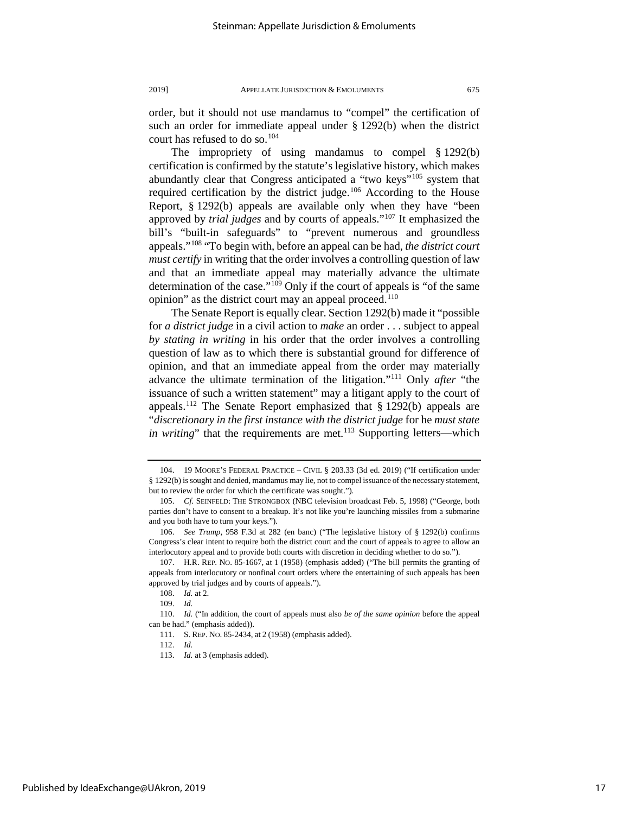order, but it should not use mandamus to "compel" the certification of such an order for immediate appeal under § 1292(b) when the district court has refused to do so.[104](#page-17-0)

<span id="page-17-10"></span>The impropriety of using mandamus to compel § 1292(b) certification is confirmed by the statute's legislative history, which makes abundantly clear that Congress anticipated a "two keys"<sup>[105](#page-17-1)</sup> system that required certification by the district judge.<sup>[106](#page-17-2)</sup> According to the House Report, § 1292(b) appeals are available only when they have "been approved by *trial judges* and by courts of appeals."[107](#page-17-3) It emphasized the bill's "built-in safeguards" to "prevent numerous and groundless appeals."[108](#page-17-4) "To begin with, before an appeal can be had, *the district court must certify* in writing that the order involves a controlling question of law and that an immediate appeal may materially advance the ultimate determination of the case."[109](#page-17-5) Only if the court of appeals is "of the same opinion" as the district court may an appeal proceed. $110$ 

The Senate Report is equally clear. Section 1292(b) made it "possible for *a district judge* in a civil action to *make* an order . . . subject to appeal *by stating in writing* in his order that the order involves a controlling question of law as to which there is substantial ground for difference of opinion, and that an immediate appeal from the order may materially advance the ultimate termination of the litigation."[111](#page-17-7) Only *after* "the issuance of such a written statement" may a litigant apply to the court of appeals.[112](#page-17-8) The Senate Report emphasized that § 1292(b) appeals are "*discretionary in the first instance with the district judge* for he *must state in writing*" that the requirements are met.<sup>[113](#page-17-9)</sup> Supporting letters—which

<span id="page-17-0"></span><sup>104. 19</sup> MOORE'S FEDERAL PRACTICE – CIVIL § 203.33 (3d ed. 2019) ("If certification under § 1292(b) is sought and denied, mandamus may lie, not to compel issuance of the necessary statement, but to review the order for which the certificate was sought.").

<span id="page-17-1"></span><sup>105.</sup> *Cf.* SEINFELD: THE STRONGBOX (NBC television broadcast Feb. 5, 1998) ("George, both parties don't have to consent to a breakup. It's not like you're launching missiles from a submarine and you both have to turn your keys.").

<span id="page-17-2"></span><sup>106.</sup> *See Trump*, 958 F.3d at 282 (en banc) ("The legislative history of § 1292(b) confirms Congress's clear intent to require both the district court and the court of appeals to agree to allow an interlocutory appeal and to provide both courts with discretion in deciding whether to do so.").

<span id="page-17-3"></span><sup>107.</sup> H.R. REP. NO. 85-1667, at 1 (1958) (emphasis added) ("The bill permits the granting of appeals from interlocutory or nonfinal court orders where the entertaining of such appeals has been approved by trial judges and by courts of appeals.").

<sup>108.</sup> *Id.* at 2.

<sup>109.</sup> *Id.*

<span id="page-17-9"></span><span id="page-17-8"></span><span id="page-17-7"></span><span id="page-17-6"></span><span id="page-17-5"></span><span id="page-17-4"></span><sup>110.</sup> *Id.* ("In addition, the court of appeals must also *be of the same opinion* before the appeal can be had." (emphasis added)).

<sup>111.</sup> S. REP. NO. 85-2434, at 2 (1958) (emphasis added).

<sup>112.</sup> *Id.*

<sup>113.</sup> *Id.* at 3 (emphasis added).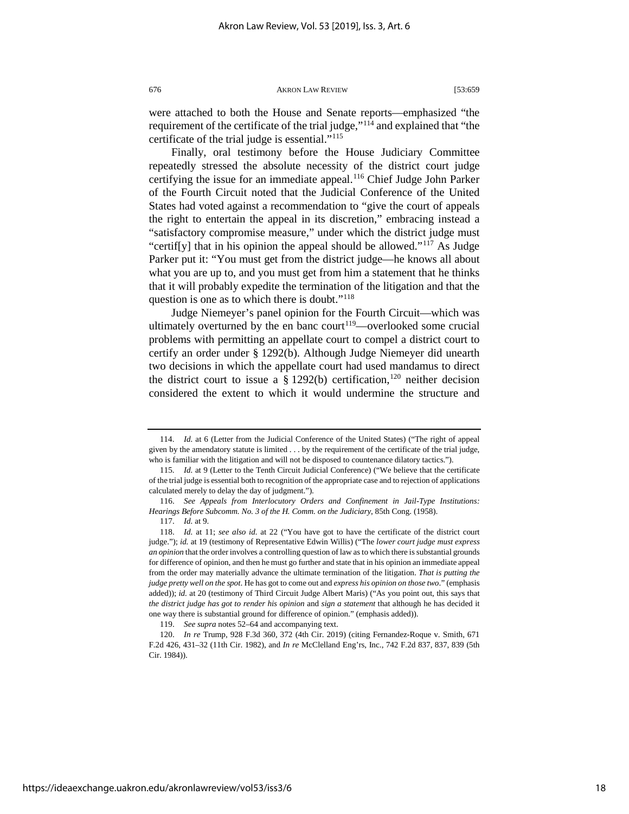were attached to both the House and Senate reports—emphasized "the requirement of the certificate of the trial judge,"[114](#page-18-0) and explained that "the certificate of the trial judge is essential."[115](#page-18-1)

Finally, oral testimony before the House Judiciary Committee repeatedly stressed the absolute necessity of the district court judge certifying the issue for an immediate appeal.<sup>[116](#page-18-2)</sup> Chief Judge John Parker of the Fourth Circuit noted that the Judicial Conference of the United States had voted against a recommendation to "give the court of appeals the right to entertain the appeal in its discretion," embracing instead a "satisfactory compromise measure," under which the district judge must "certif[y] that in his opinion the appeal should be allowed."<sup>[117](#page-18-3)</sup> As Judge Parker put it: "You must get from the district judge—he knows all about what you are up to, and you must get from him a statement that he thinks that it will probably expedite the termination of the litigation and that the question is one as to which there is doubt."<sup>[118](#page-18-4)</sup>

<span id="page-18-7"></span>Judge Niemeyer's panel opinion for the Fourth Circuit—which was ultimately overturned by the en banc court<sup>119</sup>—overlooked some crucial problems with permitting an appellate court to compel a district court to certify an order under § 1292(b). Although Judge Niemeyer did unearth two decisions in which the appellate court had used mandamus to direct the district court to issue a  $\S 1292(b)$  certification, <sup>[120](#page-18-6)</sup> neither decision considered the extent to which it would undermine the structure and

<span id="page-18-0"></span><sup>114.</sup> *Id.* at 6 (Letter from the Judicial Conference of the United States) ("The right of appeal given by the amendatory statute is limited . . . by the requirement of the certificate of the trial judge, who is familiar with the litigation and will not be disposed to countenance dilatory tactics.").

<span id="page-18-1"></span><sup>115.</sup> *Id.* at 9 (Letter to the Tenth Circuit Judicial Conference) ("We believe that the certificate of the trial judge is essential both to recognition of the appropriate case and to rejection of applications calculated merely to delay the day of judgment.").

<span id="page-18-2"></span><sup>116.</sup> *See Appeals from Interlocutory Orders and Confinement in Jail-Type Institutions: Hearings Before Subcomm. No. 3 of the H. Comm. on the Judiciary*, 85th Cong. (1958).

<sup>117.</sup> *Id.* at 9.

<span id="page-18-4"></span><span id="page-18-3"></span><sup>118.</sup> *Id.* at 11; *see also id.* at 22 ("You have got to have the certificate of the district court judge."); *id.* at 19 (testimony of Representative Edwin Willis) ("The *lower court judge must express an opinion* that the order involves a controlling question of law as to which there is substantial grounds for difference of opinion, and then he must go further and state that in his opinion an immediate appeal from the order may materially advance the ultimate termination of the litigation. *That is putting the judge pretty well on the spot*. He has got to come out and *express his opinion on those two*." (emphasis added)); *id.* at 20 (testimony of Third Circuit Judge Albert Maris) ("As you point out, this says that *the district judge has got to render his opinion* and *sign a statement* that although he has decided it one way there is substantial ground for difference of opinion." (emphasis added)).

<sup>119.</sup> *See supra* note[s 52](#page-10-9)[–64](#page-12-10) and accompanying text.

<span id="page-18-6"></span><span id="page-18-5"></span><sup>120.</sup> *In re* Trump, 928 F.3d 360, 372 (4th Cir. 2019) (citing Fernandez-Roque v. Smith, 671 F.2d 426, 431–32 (11th Cir. 1982), and *In re* McClelland Eng'rs, Inc., 742 F.2d 837, 837, 839 (5th Cir. 1984)).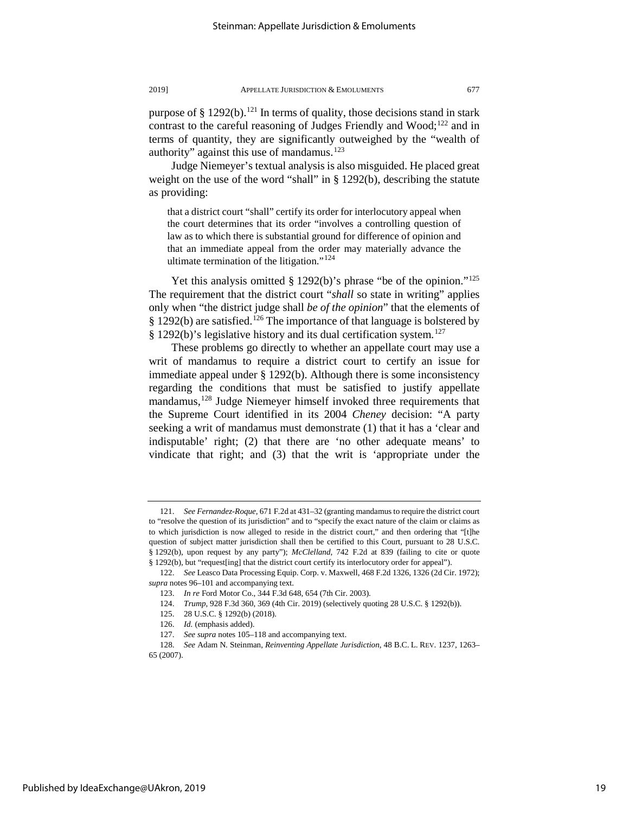purpose of  $\S 1292(b)$ .<sup>121</sup> In terms of quality, those decisions stand in stark contrast to the careful reasoning of Judges Friendly and Wood;<sup>[122](#page-19-1)</sup> and in terms of quantity, they are significantly outweighed by the "wealth of authority" against this use of mandamus.<sup>[123](#page-19-2)</sup>

Judge Niemeyer's textual analysis is also misguided. He placed great weight on the use of the word "shall" in § 1292(b), describing the statute as providing:

that a district court "shall" certify its order for interlocutory appeal when the court determines that its order "involves a controlling question of law as to which there is substantial ground for difference of opinion and that an immediate appeal from the order may materially advance the ultimate termination of the litigation." $124$ 

Yet this analysis omitted § 1292(b)'s phrase "be of the opinion."<sup>125</sup> The requirement that the district court "*shall* so state in writing" applies only when "the district judge shall *be of the opinion*" that the elements of  $§$  1292(b) are satisfied.<sup>[126](#page-19-5)</sup> The importance of that language is bolstered by § 1292(b)'s legislative history and its dual certification system.[127](#page-19-6)

<span id="page-19-8"></span>These problems go directly to whether an appellate court may use a writ of mandamus to require a district court to certify an issue for immediate appeal under § 1292(b). Although there is some inconsistency regarding the conditions that must be satisfied to justify appellate mandamus,<sup>[128](#page-19-7)</sup> Judge Niemeyer himself invoked three requirements that the Supreme Court identified in its 2004 *Cheney* decision: "A party seeking a writ of mandamus must demonstrate (1) that it has a 'clear and indisputable' right; (2) that there are 'no other adequate means' to vindicate that right; and (3) that the writ is 'appropriate under the

<span id="page-19-0"></span><sup>121.</sup> *See Fernandez-Roque*, 671 F.2d at 431–32 (granting mandamus to require the district court to "resolve the question of its jurisdiction" and to "specify the exact nature of the claim or claims as to which jurisdiction is now alleged to reside in the district court," and then ordering that "[t]he question of subject matter jurisdiction shall then be certified to this Court, pursuant to 28 U.S.C. § 1292(b), upon request by any party"); *McClelland*, 742 F.2d at 839 (failing to cite or quote § 1292(b), but "request[ing] that the district court certify its interlocutory order for appeal").

<span id="page-19-3"></span><span id="page-19-2"></span><span id="page-19-1"></span><sup>122.</sup> *See* Leasco Data Processing Equip. Corp. v. Maxwell, 468 F.2d 1326, 1326 (2d Cir. 1972); *supra* note[s 96](#page-16-10)[–101](#page-16-1) and accompanying text.

<sup>123.</sup> *In re* Ford Motor Co., 344 F.3d 648, 654 (7th Cir. 2003).

<sup>124.</sup> *Trump*, 928 F.3d 360, 369 (4th Cir. 2019) (selectively quoting 28 U.S.C. § 1292(b)).

<sup>125. 28</sup> U.S.C. § 1292(b) (2018).

<sup>126.</sup> *Id.* (emphasis added).

<sup>127.</sup> *See supra* note[s 105](#page-17-10)[–118](#page-18-7) and accompanying text.

<span id="page-19-7"></span><span id="page-19-6"></span><span id="page-19-5"></span><span id="page-19-4"></span><sup>128.</sup> *See* Adam N. Steinman, *Reinventing Appellate Jurisdiction*, 48 B.C. L. REV. 1237, 1263– 65 (2007).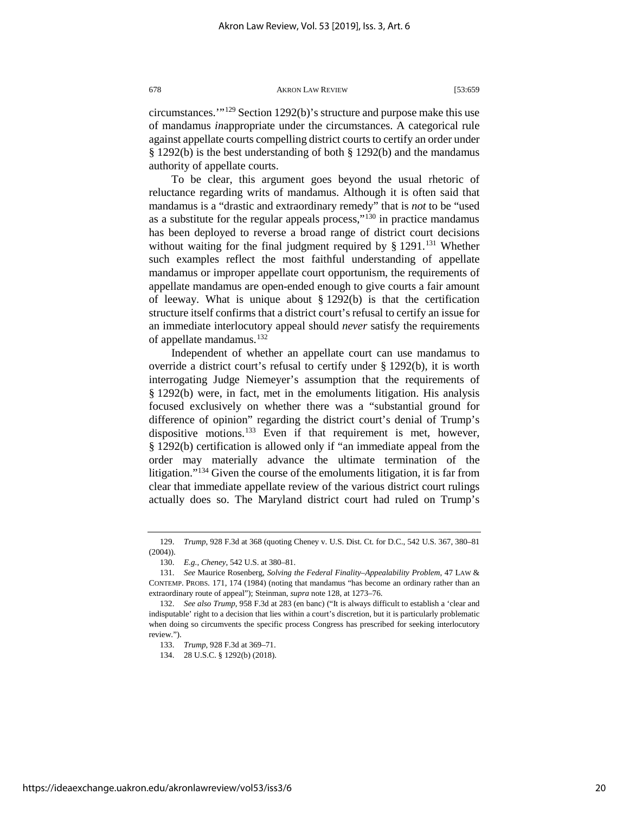circumstances.'"[129](#page-20-0) Section 1292(b)'s structure and purpose make this use of mandamus *in*appropriate under the circumstances. A categorical rule against appellate courts compelling district courts to certify an order under § 1292(b) is the best understanding of both § 1292(b) and the mandamus authority of appellate courts.

To be clear, this argument goes beyond the usual rhetoric of reluctance regarding writs of mandamus. Although it is often said that mandamus is a "drastic and extraordinary remedy" that is *not* to be "used as a substitute for the regular appeals process,"[130](#page-20-1) in practice mandamus has been deployed to reverse a broad range of district court decisions without waiting for the final judgment required by  $\S$  1291.<sup>[131](#page-20-2)</sup> Whether such examples reflect the most faithful understanding of appellate mandamus or improper appellate court opportunism, the requirements of appellate mandamus are open-ended enough to give courts a fair amount of leeway. What is unique about  $\S 1292(b)$  is that the certification structure itself confirms that a district court's refusal to certify an issue for an immediate interlocutory appeal should *never* satisfy the requirements of appellate mandamus.[132](#page-20-3)

Independent of whether an appellate court can use mandamus to override a district court's refusal to certify under § 1292(b), it is worth interrogating Judge Niemeyer's assumption that the requirements of § 1292(b) were, in fact, met in the emoluments litigation. His analysis focused exclusively on whether there was a "substantial ground for difference of opinion" regarding the district court's denial of Trump's dispositive motions.<sup>[133](#page-20-4)</sup> Even if that requirement is met, however, § 1292(b) certification is allowed only if "an immediate appeal from the order may materially advance the ultimate termination of the litigation."[134](#page-20-5) Given the course of the emoluments litigation, it is far from clear that immediate appellate review of the various district court rulings actually does so. The Maryland district court had ruled on Trump's

134. 28 U.S.C. § 1292(b) (2018).

<span id="page-20-6"></span><span id="page-20-0"></span><sup>129.</sup> *Trump*, 928 F.3d at 368 (quoting Cheney v. U.S. Dist. Ct. for D.C., 542 U.S. 367, 380–81 (2004)).

<sup>130.</sup> *E.g.*, *Cheney*, 542 U.S. at 380–81.

<span id="page-20-2"></span><span id="page-20-1"></span><sup>131.</sup> *See* Maurice Rosenberg, *Solving the Federal Finality–Appealability Problem*, 47 LAW & CONTEMP. PROBS. 171, 174 (1984) (noting that mandamus "has become an ordinary rather than an extraordinary route of appeal"); Steinman, *supra* not[e 128,](#page-19-8) at 1273–76.

<span id="page-20-5"></span><span id="page-20-4"></span><span id="page-20-3"></span><sup>132.</sup> *See also Trump*, 958 F.3d at 283 (en banc) ("It is always difficult to establish a 'clear and indisputable' right to a decision that lies within a court's discretion, but it is particularly problematic when doing so circumvents the specific process Congress has prescribed for seeking interlocutory review.").

<sup>133.</sup> *Trump*, 928 F.3d at 369–71.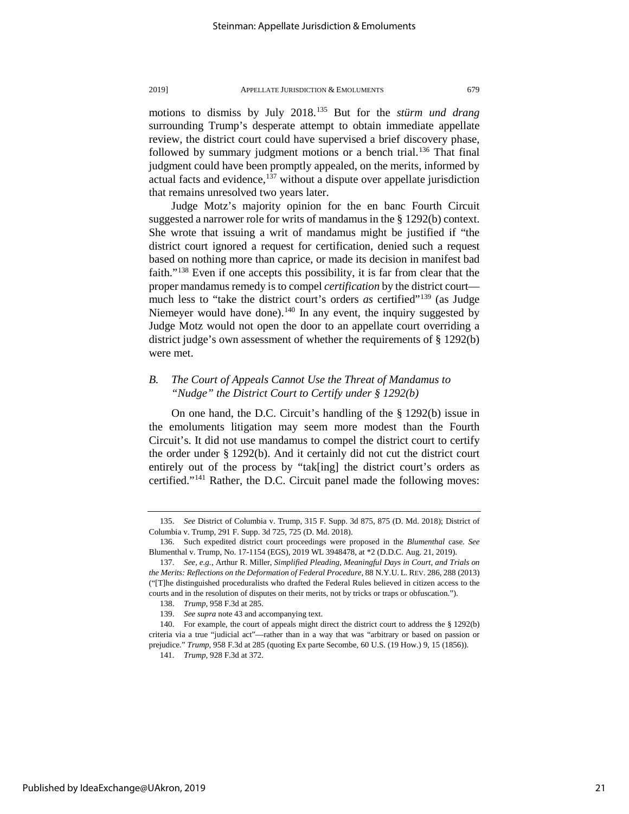motions to dismiss by July 2018.[135](#page-21-0) But for the *stürm und drang* surrounding Trump's desperate attempt to obtain immediate appellate review, the district court could have supervised a brief discovery phase, followed by summary judgment motions or a bench trial.<sup>[136](#page-21-1)</sup> That final judgment could have been promptly appealed, on the merits, informed by actual facts and evidence,  $137$  without a dispute over appellate jurisdiction that remains unresolved two years later.

<span id="page-21-7"></span>Judge Motz's majority opinion for the en banc Fourth Circuit suggested a narrower role for writs of mandamus in the § 1292(b) context. She wrote that issuing a writ of mandamus might be justified if "the district court ignored a request for certification, denied such a request based on nothing more than caprice, or made its decision in manifest bad faith."[138](#page-21-3) Even if one accepts this possibility, it is far from clear that the proper mandamus remedy is to compel *certification* by the district court much less to "take the district court's orders *as* certified"<sup>139</sup> (as Judge Niemeyer would have done).<sup>[140](#page-21-5)</sup> In any event, the inquiry suggested by Judge Motz would not open the door to an appellate court overriding a district judge's own assessment of whether the requirements of § 1292(b) were met.

### *B. The Court of Appeals Cannot Use the Threat of Mandamus to "Nudge" the District Court to Certify under § 1292(b)*

On one hand, the D.C. Circuit's handling of the § 1292(b) issue in the emoluments litigation may seem more modest than the Fourth Circuit's. It did not use mandamus to compel the district court to certify the order under § 1292(b). And it certainly did not cut the district court entirely out of the process by "tak[ing] the district court's orders as certified."[141](#page-21-6) Rather, the D.C. Circuit panel made the following moves:

<span id="page-21-0"></span><sup>135.</sup> *See* District of Columbia v. Trump, 315 F. Supp. 3d 875, 875 (D. Md. 2018); District of Columbia v. Trump, 291 F. Supp. 3d 725, 725 (D. Md. 2018).

<span id="page-21-1"></span><sup>136.</sup> Such expedited district court proceedings were proposed in the *Blumenthal* case. *See*  Blumenthal v. Trump, No. 17-1154 (EGS), 2019 WL 3948478, at \*2 (D.D.C. Aug. 21, 2019).

<span id="page-21-2"></span><sup>137.</sup> *See, e.g.*, Arthur R. Miller, *Simplified Pleading, Meaningful Days in Court, and Trials on the Merits: Reflections on the Deformation of Federal Procedure*, 88 N.Y.U. L. REV. 286, 288 (2013) ("[T]he distinguished proceduralists who drafted the Federal Rules believed in citizen access to the courts and in the resolution of disputes on their merits, not by tricks or traps or obfuscation.").

<sup>138.</sup> *Trump*, 958 F.3d at 285.

<sup>139.</sup> *See supra* not[e 43](#page-9-9) and accompanying text.

<span id="page-21-6"></span><span id="page-21-5"></span><span id="page-21-4"></span><span id="page-21-3"></span><sup>140.</sup> For example, the court of appeals might direct the district court to address the § 1292(b) criteria via a true "judicial act"—rather than in a way that was "arbitrary or based on passion or prejudice." *Trump*, 958 F.3d at 285 (quoting Ex parte Secombe, 60 U.S. (19 How.) 9, 15 (1856)).

<sup>141.</sup> *Trump*, 928 F.3d at 372.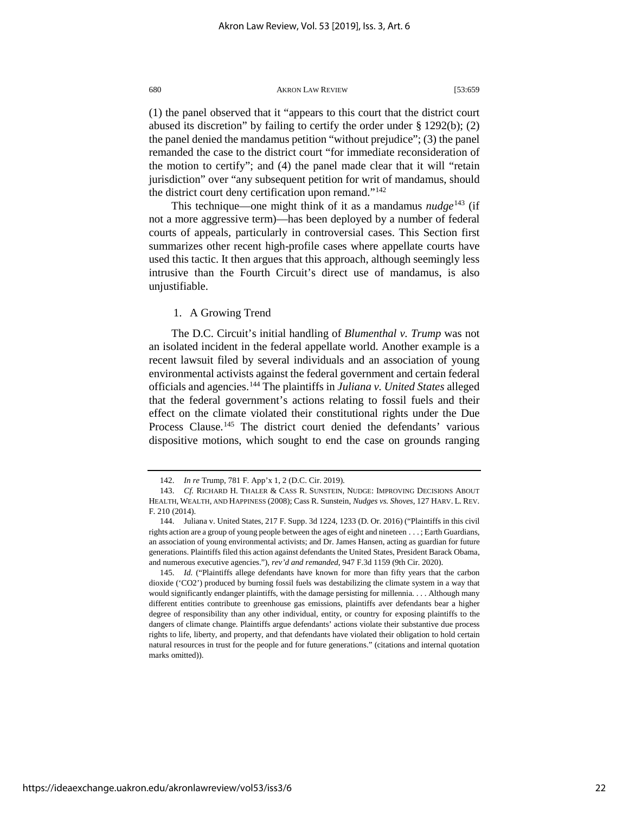(1) the panel observed that it "appears to this court that the district court abused its discretion" by failing to certify the order under § 1292(b); (2) the panel denied the mandamus petition "without prejudice"; (3) the panel remanded the case to the district court "for immediate reconsideration of the motion to certify"; and (4) the panel made clear that it will "retain jurisdiction" over "any subsequent petition for writ of mandamus, should the district court deny certification upon remand."<sup>[142](#page-22-0)</sup>

This technique—one might think of it as a mandamus  $nudge^{143}$  $nudge^{143}$  $nudge^{143}$  (if not a more aggressive term)—has been deployed by a number of federal courts of appeals, particularly in controversial cases. This Section first summarizes other recent high-profile cases where appellate courts have used this tactic. It then argues that this approach, although seemingly less intrusive than the Fourth Circuit's direct use of mandamus, is also unjustifiable.

### 1. A Growing Trend

The D.C. Circuit's initial handling of *Blumenthal v. Trump* was not an isolated incident in the federal appellate world. Another example is a recent lawsuit filed by several individuals and an association of young environmental activists against the federal government and certain federal officials and agencies.[144](#page-22-2) The plaintiffs in *Juliana v. United States* alleged that the federal government's actions relating to fossil fuels and their effect on the climate violated their constitutional rights under the Due Process Clause.<sup>[145](#page-22-3)</sup> The district court denied the defendants' various dispositive motions, which sought to end the case on grounds ranging

<sup>142.</sup> *In re* Trump, 781 F. App'x 1, 2 (D.C. Cir. 2019).

<span id="page-22-1"></span><span id="page-22-0"></span><sup>143.</sup> *Cf.* RICHARD H. THALER & CASS R. SUNSTEIN, NUDGE: IMPROVING DECISIONS ABOUT HEALTH, WEALTH, AND HAPPINESS (2008); Cass R. Sunstein, *Nudges vs. Shoves*, 127 HARV. L. REV. F. 210 (2014).

<span id="page-22-2"></span><sup>144.</sup> Juliana v. United States, 217 F. Supp. 3d 1224, 1233 (D. Or. 2016) ("Plaintiffs in this civil rights action are a group of young people between the ages of eight and nineteen . . . ; Earth Guardians, an association of young environmental activists; and Dr. James Hansen, acting as guardian for future generations. Plaintiffs filed this action against defendants the United States, President Barack Obama, and numerous executive agencies."), *rev'd and remanded*, 947 F.3d 1159 (9th Cir. 2020).

<span id="page-22-3"></span><sup>145.</sup> *Id.* ("Plaintiffs allege defendants have known for more than fifty years that the carbon dioxide ('CO2') produced by burning fossil fuels was destabilizing the climate system in a way that would significantly endanger plaintiffs, with the damage persisting for millennia. . . . Although many different entities contribute to greenhouse gas emissions, plaintiffs aver defendants bear a higher degree of responsibility than any other individual, entity, or country for exposing plaintiffs to the dangers of climate change. Plaintiffs argue defendants' actions violate their substantive due process rights to life, liberty, and property, and that defendants have violated their obligation to hold certain natural resources in trust for the people and for future generations." (citations and internal quotation marks omitted)).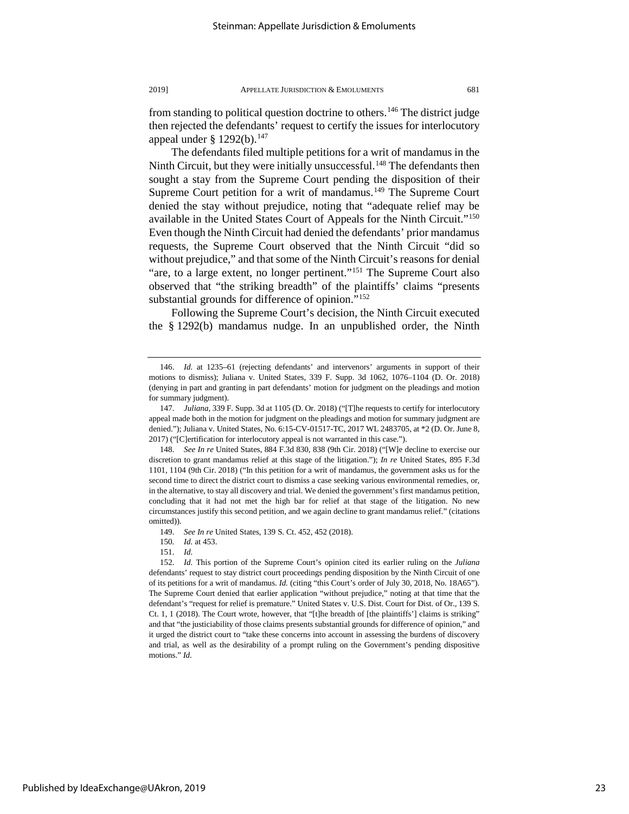from standing to political question doctrine to others.<sup>146</sup> The district judge then rejected the defendants' request to certify the issues for interlocutory appeal under §  $1292(b)$ .<sup>[147](#page-23-1)</sup>

The defendants filed multiple petitions for a writ of mandamus in the Ninth Circuit, but they were initially unsuccessful.<sup>[148](#page-23-2)</sup> The defendants then sought a stay from the Supreme Court pending the disposition of their Supreme Court petition for a writ of mandamus.<sup>[149](#page-23-3)</sup> The Supreme Court denied the stay without prejudice, noting that "adequate relief may be available in the United States Court of Appeals for the Ninth Circuit.["150](#page-23-4) Even though the Ninth Circuit had denied the defendants' prior mandamus requests, the Supreme Court observed that the Ninth Circuit "did so without prejudice," and that some of the Ninth Circuit's reasons for denial "are, to a large extent, no longer pertinent."[151](#page-23-5) The Supreme Court also observed that "the striking breadth" of the plaintiffs' claims "presents substantial grounds for difference of opinion."<sup>[152](#page-23-6)</sup>

Following the Supreme Court's decision, the Ninth Circuit executed the § 1292(b) mandamus nudge. In an unpublished order, the Ninth

<span id="page-23-0"></span><sup>146.</sup> *Id.* at 1235–61 (rejecting defendants' and intervenors' arguments in support of their motions to dismiss); Juliana v. United States, 339 F. Supp. 3d 1062, 1076–1104 (D. Or. 2018) (denying in part and granting in part defendants' motion for judgment on the pleadings and motion for summary judgment).

<span id="page-23-1"></span><sup>147.</sup> *Juliana*, 339 F. Supp. 3d at 1105 (D. Or. 2018) ("[T]he requests to certify for interlocutory appeal made both in the motion for judgment on the pleadings and motion for summary judgment are denied."); Juliana v. United States, No. 6:15-CV-01517-TC, 2017 WL 2483705, at \*2 (D. Or. June 8, 2017) ("[C]ertification for interlocutory appeal is not warranted in this case.").

<span id="page-23-2"></span><sup>148.</sup> *See In re* United States, 884 F.3d 830, 838 (9th Cir. 2018) ("[W]e decline to exercise our discretion to grant mandamus relief at this stage of the litigation."); *In re* United States, 895 F.3d 1101, 1104 (9th Cir. 2018) ("In this petition for a writ of mandamus, the government asks us for the second time to direct the district court to dismiss a case seeking various environmental remedies, or, in the alternative, to stay all discovery and trial. We denied the government's first mandamus petition, concluding that it had not met the high bar for relief at that stage of the litigation. No new circumstances justify this second petition, and we again decline to grant mandamus relief." (citations omitted)).

<sup>149.</sup> *See In re* United States, 139 S. Ct. 452, 452 (2018).

<sup>150</sup>*. Id.* at 453.

<sup>151.</sup> *Id.*

<span id="page-23-6"></span><span id="page-23-5"></span><span id="page-23-4"></span><span id="page-23-3"></span><sup>152.</sup> *Id.* This portion of the Supreme Court's opinion cited its earlier ruling on the *Juliana*  defendants' request to stay district court proceedings pending disposition by the Ninth Circuit of one of its petitions for a writ of mandamus. *Id.* (citing "this Court's order of July 30, 2018, No. 18A65"). The Supreme Court denied that earlier application "without prejudice," noting at that time that the defendant's "request for relief is premature." United States v. U.S. Dist. Court for Dist. of Or., 139 S. Ct. 1, 1 (2018). The Court wrote, however, that "[t]he breadth of [the plaintiffs'] claims is striking" and that "the justiciability of those claims presents substantial grounds for difference of opinion," and it urged the district court to "take these concerns into account in assessing the burdens of discovery and trial, as well as the desirability of a prompt ruling on the Government's pending dispositive motions." *Id.*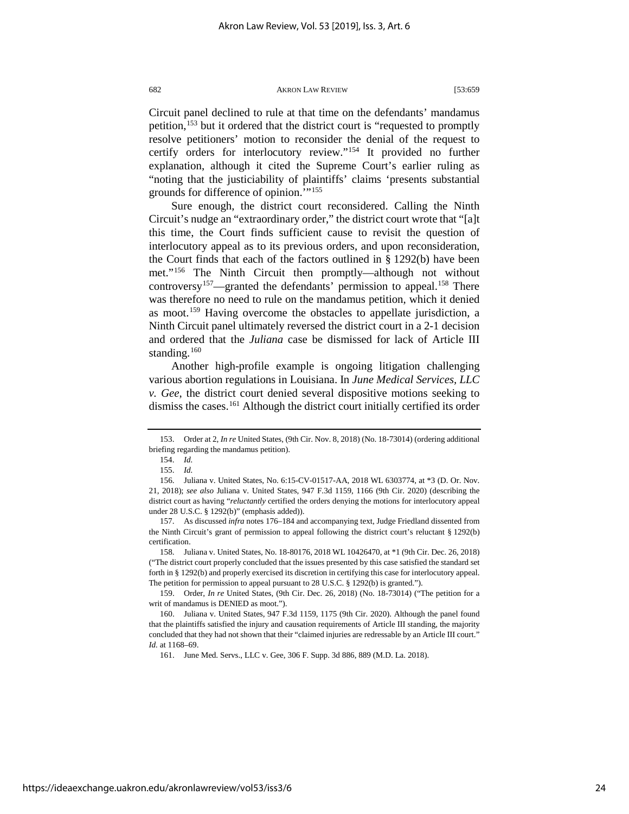Circuit panel declined to rule at that time on the defendants' mandamus petition,<sup>[153](#page-24-0)</sup> but it ordered that the district court is "requested to promptly resolve petitioners' motion to reconsider the denial of the request to certify orders for interlocutory review."[154](#page-24-1) It provided no further explanation, although it cited the Supreme Court's earlier ruling as "noting that the justiciability of plaintiffs' claims 'presents substantial grounds for difference of opinion.'"[155](#page-24-2)

Sure enough, the district court reconsidered. Calling the Ninth Circuit's nudge an "extraordinary order," the district court wrote that "[a]t this time, the Court finds sufficient cause to revisit the question of interlocutory appeal as to its previous orders, and upon reconsideration, the Court finds that each of the factors outlined in § 1292(b) have been met."[156](#page-24-3) The Ninth Circuit then promptly—although not without controversy<sup>157</sup>—granted the defendants' permission to appeal.<sup>158</sup> There was therefore no need to rule on the mandamus petition, which it denied as moot.[159](#page-24-6) Having overcome the obstacles to appellate jurisdiction, a Ninth Circuit panel ultimately reversed the district court in a 2-1 decision and ordered that the *Juliana* case be dismissed for lack of Article III standing.<sup>[160](#page-24-7)</sup>

Another high-profile example is ongoing litigation challenging various abortion regulations in Louisiana. In *June Medical Services, LLC v. Gee*, the district court denied several dispositive motions seeking to dismiss the cases.[161](#page-24-8) Although the district court initially certified its order

<span id="page-24-1"></span><span id="page-24-0"></span><sup>153.</sup> Order at 2, *In re* United States, (9th Cir. Nov. 8, 2018) (No. 18-73014) (ordering additional briefing regarding the mandamus petition).

<sup>154.</sup> *Id.*

<sup>155.</sup> *Id.*

<span id="page-24-3"></span><span id="page-24-2"></span><sup>156.</sup> Juliana v. United States, No. 6:15-CV-01517-AA, 2018 WL 6303774, at \*3 (D. Or. Nov. 21, 2018); *see also* Juliana v. United States, 947 F.3d 1159, 1166 (9th Cir. 2020) (describing the district court as having "*reluctantly* certified the orders denying the motions for interlocutory appeal under 28 U.S.C. § 1292(b)" (emphasis added)).

<span id="page-24-4"></span><sup>157.</sup> As discussed *infra* note[s 176](#page-26-0)[–184](#page-27-0) and accompanying text, Judge Friedland dissented from the Ninth Circuit's grant of permission to appeal following the district court's reluctant § 1292(b) certification.

<span id="page-24-5"></span><sup>158.</sup> Juliana v. United States, No. 18-80176, 2018 WL 10426470, at \*1 (9th Cir. Dec. 26, 2018) ("The district court properly concluded that the issues presented by this case satisfied the standard set forth in § 1292(b) and properly exercised its discretion in certifying this case for interlocutory appeal. The petition for permission to appeal pursuant to 28 U.S.C. § 1292(b) is granted.").

<span id="page-24-6"></span><sup>159.</sup> Order, *In re* United States, (9th Cir. Dec. 26, 2018) (No. 18-73014) ("The petition for a writ of mandamus is DENIED as moot.").

<span id="page-24-8"></span><span id="page-24-7"></span><sup>160.</sup> Juliana v. United States, 947 F.3d 1159, 1175 (9th Cir. 2020). Although the panel found that the plaintiffs satisfied the injury and causation requirements of Article III standing, the majority concluded that they had not shown that their "claimed injuries are redressable by an Article III court." *Id.* at 1168–69.

<sup>161.</sup> June Med. Servs., LLC v. Gee, 306 F. Supp. 3d 886, 889 (M.D. La. 2018).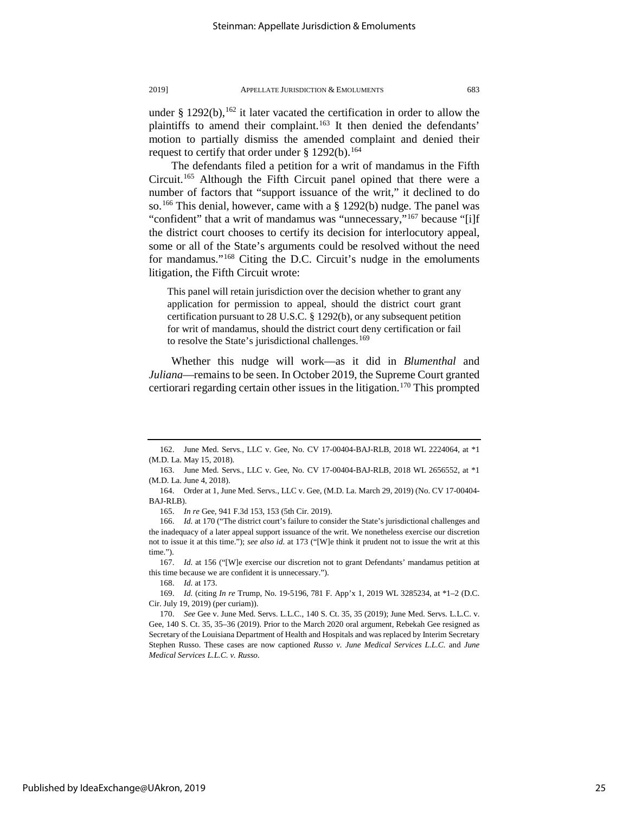under § 1292(b),  $162$  it later vacated the certification in order to allow the plaintiffs to amend their complaint.<sup>[163](#page-25-1)</sup> It then denied the defendants' motion to partially dismiss the amended complaint and denied their request to certify that order under § 1292(b).<sup>[164](#page-25-2)</sup>

The defendants filed a petition for a writ of mandamus in the Fifth Circuit.[165](#page-25-3) Although the Fifth Circuit panel opined that there were a number of factors that "support issuance of the writ," it declined to do so.[166](#page-25-4) This denial, however, came with a § 1292(b) nudge. The panel was "confident" that a writ of mandamus was "unnecessary,"<sup>[167](#page-25-5)</sup> because "[i]f the district court chooses to certify its decision for interlocutory appeal, some or all of the State's arguments could be resolved without the need for mandamus."<sup>[168](#page-25-6)</sup> Citing the D.C. Circuit's nudge in the emoluments litigation, the Fifth Circuit wrote:

This panel will retain jurisdiction over the decision whether to grant any application for permission to appeal, should the district court grant certification pursuant to 28 U.S.C. § 1292(b), or any subsequent petition for writ of mandamus, should the district court deny certification or fail to resolve the State's jurisdictional challenges.<sup>[169](#page-25-7)</sup>

Whether this nudge will work—as it did in *Blumenthal* and *Juliana*—remains to be seen. In October 2019, the Supreme Court granted certiorari regarding certain other issues in the litigation.<sup>[170](#page-25-8)</sup> This prompted

165. *In re* Gee, 941 F.3d 153, 153 (5th Cir. 2019).

<span id="page-25-5"></span>167. *Id.* at 156 ("[W]e exercise our discretion not to grant Defendants' mandamus petition at this time because we are confident it is unnecessary.").

168. *Id.* at 173.

Published by IdeaExchange@UAkron, 2019

<span id="page-25-7"></span><span id="page-25-6"></span>169. *Id.* (citing *In re* Trump, No. 19-5196, 781 F. App'x 1, 2019 WL 3285234, at \*1–2 (D.C. Cir. July 19, 2019) (per curiam)).

<span id="page-25-0"></span><sup>162.</sup> June Med. Servs., LLC v. Gee, No. CV 17-00404-BAJ-RLB, 2018 WL 2224064, at \*1 (M.D. La. May 15, 2018).

<span id="page-25-1"></span><sup>163.</sup> June Med. Servs., LLC v. Gee, No. CV 17-00404-BAJ-RLB, 2018 WL 2656552, at \*1 (M.D. La. June 4, 2018).

<span id="page-25-2"></span><sup>164.</sup> Order at 1, June Med. Servs., LLC v. Gee, (M.D. La. March 29, 2019) (No. CV 17-00404- BAJ-RLB).

<span id="page-25-4"></span><span id="page-25-3"></span><sup>166.</sup> *Id.* at 170 ("The district court's failure to consider the State's jurisdictional challenges and the inadequacy of a later appeal support issuance of the writ. We nonetheless exercise our discretion not to issue it at this time."); *see also id.* at 173 ("[W]e think it prudent not to issue the writ at this time.").

<span id="page-25-8"></span><sup>170.</sup> *See* Gee v. June Med. Servs. L.L.C., 140 S. Ct. 35, 35 (2019); June Med. Servs. L.L.C. v. Gee, 140 S. Ct. 35, 35–36 (2019). Prior to the March 2020 oral argument, Rebekah Gee resigned as Secretary of the Louisiana Department of Health and Hospitals and was replaced by Interim Secretary Stephen Russo. These cases are now captioned *Russo v. June Medical Services L.L.C.* and *June Medical Services L.L.C. v. Russo*.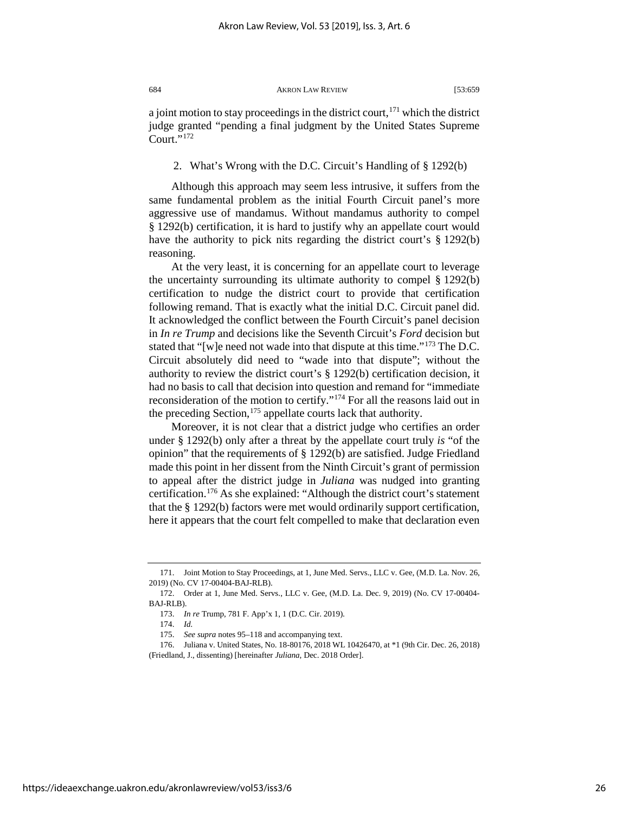a joint motion to stay proceedings in the district court,  $171$  which the district judge granted "pending a final judgment by the United States Supreme Court $"$ <sup>[172](#page-26-2)</sup>

### 2. What's Wrong with the D.C. Circuit's Handling of § 1292(b)

Although this approach may seem less intrusive, it suffers from the same fundamental problem as the initial Fourth Circuit panel's more aggressive use of mandamus. Without mandamus authority to compel § 1292(b) certification, it is hard to justify why an appellate court would have the authority to pick nits regarding the district court's § 1292(b) reasoning.

At the very least, it is concerning for an appellate court to leverage the uncertainty surrounding its ultimate authority to compel § 1292(b) certification to nudge the district court to provide that certification following remand. That is exactly what the initial D.C. Circuit panel did. It acknowledged the conflict between the Fourth Circuit's panel decision in *In re Trump* and decisions like the Seventh Circuit's *Ford* decision but stated that "[w]e need not wade into that dispute at this time."[173](#page-26-3) The D.C. Circuit absolutely did need to "wade into that dispute"; without the authority to review the district court's § 1292(b) certification decision, it had no basis to call that decision into question and remand for "immediate reconsideration of the motion to certify."[174](#page-26-4) For all the reasons laid out in the preceding Section,  $175$  appellate courts lack that authority.

<span id="page-26-0"></span>Moreover, it is not clear that a district judge who certifies an order under § 1292(b) only after a threat by the appellate court truly *is* "of the opinion" that the requirements of § 1292(b) are satisfied. Judge Friedland made this point in her dissent from the Ninth Circuit's grant of permission to appeal after the district judge in *Juliana* was nudged into granting certification[.176](#page-26-6) As she explained: "Although the district court's statement that the § 1292(b) factors were met would ordinarily support certification, here it appears that the court felt compelled to make that declaration even

<span id="page-26-1"></span><sup>171.</sup> Joint Motion to Stay Proceedings, at 1, June Med. Servs., LLC v. Gee, (M.D. La. Nov. 26, 2019) (No. CV 17-00404-BAJ-RLB).

<span id="page-26-3"></span><span id="page-26-2"></span><sup>172.</sup> Order at 1, June Med. Servs., LLC v. Gee, (M.D. La. Dec. 9, 2019) (No. CV 17-00404- BAJ-RLB).

<sup>173.</sup> *In re* Trump, 781 F. App'x 1, 1 (D.C. Cir. 2019).

<sup>174.</sup> *Id.*

<sup>175.</sup> *See supra* note[s 95](#page-15-7)[–118](#page-18-7) and accompanying text.

<span id="page-26-6"></span><span id="page-26-5"></span><span id="page-26-4"></span><sup>176.</sup> Juliana v. United States, No. 18-80176, 2018 WL 10426470, at \*1 (9th Cir. Dec. 26, 2018) (Friedland, J., dissenting) [hereinafter *Juliana*, Dec. 2018 Order].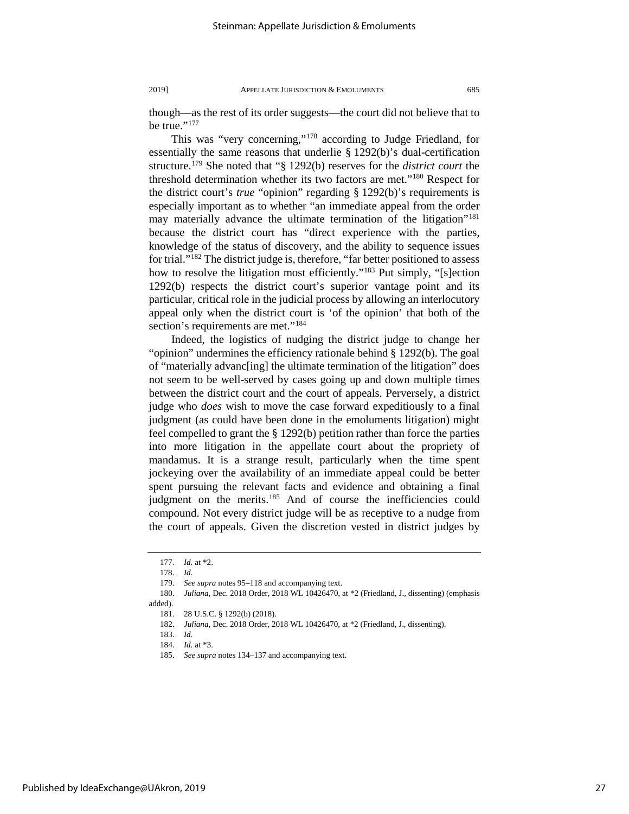though—as the rest of its order suggests—the court did not believe that to be true." $177$ 

This was "very concerning,"[178](#page-27-2) according to Judge Friedland, for essentially the same reasons that underlie § 1292(b)'s dual-certification structure.[179](#page-27-3) She noted that "§ 1292(b) reserves for the *district court* the threshold determination whether its two factors are met."[180](#page-27-4) Respect for the district court's *true* "opinion" regarding § 1292(b)'s requirements is especially important as to whether "an immediate appeal from the order may materially advance the ultimate termination of the litigation"<sup>181</sup> because the district court has "direct experience with the parties, knowledge of the status of discovery, and the ability to sequence issues for trial."[182](#page-27-6) The district judge is, therefore, "far better positioned to assess how to resolve the litigation most efficiently."<sup>[183](#page-27-7)</sup> Put simply, "[s]ection 1292(b) respects the district court's superior vantage point and its particular, critical role in the judicial process by allowing an interlocutory appeal only when the district court is 'of the opinion' that both of the section's requirements are met."<sup>[184](#page-27-8)</sup>

<span id="page-27-0"></span>Indeed, the logistics of nudging the district judge to change her "opinion" undermines the efficiency rationale behind § 1292(b). The goal of "materially advanc[ing] the ultimate termination of the litigation" does not seem to be well-served by cases going up and down multiple times between the district court and the court of appeals. Perversely, a district judge who *does* wish to move the case forward expeditiously to a final judgment (as could have been done in the emoluments litigation) might feel compelled to grant the § 1292(b) petition rather than force the parties into more litigation in the appellate court about the propriety of mandamus. It is a strange result, particularly when the time spent jockeying over the availability of an immediate appeal could be better spent pursuing the relevant facts and evidence and obtaining a final judgment on the merits.<sup>[185](#page-27-9)</sup> And of course the inefficiencies could compound. Not every district judge will be as receptive to a nudge from the court of appeals. Given the discretion vested in district judges by

<sup>177.</sup> *Id.* at \*2.

<sup>178.</sup> *Id.*

<sup>179.</sup> *See supra* note[s 95](#page-15-7)[–118](#page-18-7) and accompanying text.

<span id="page-27-8"></span><span id="page-27-7"></span><span id="page-27-6"></span><span id="page-27-5"></span><span id="page-27-4"></span><span id="page-27-3"></span><span id="page-27-2"></span><span id="page-27-1"></span><sup>180.</sup> *Juliana*, Dec. 2018 Order, 2018 WL 10426470, at \*2 (Friedland, J., dissenting) (emphasis added).

<sup>28</sup> U.S.C. § 1292(b) (2018).

<sup>182.</sup> *Juliana*, Dec. 2018 Order, 2018 WL 10426470, at \*2 (Friedland, J., dissenting).

<sup>183.</sup> *Id.*

<sup>184.</sup> *Id.* at \*3.

<span id="page-27-9"></span><sup>185.</sup> *See supra* note[s 134](#page-20-6)[–137](#page-21-7) and accompanying text.